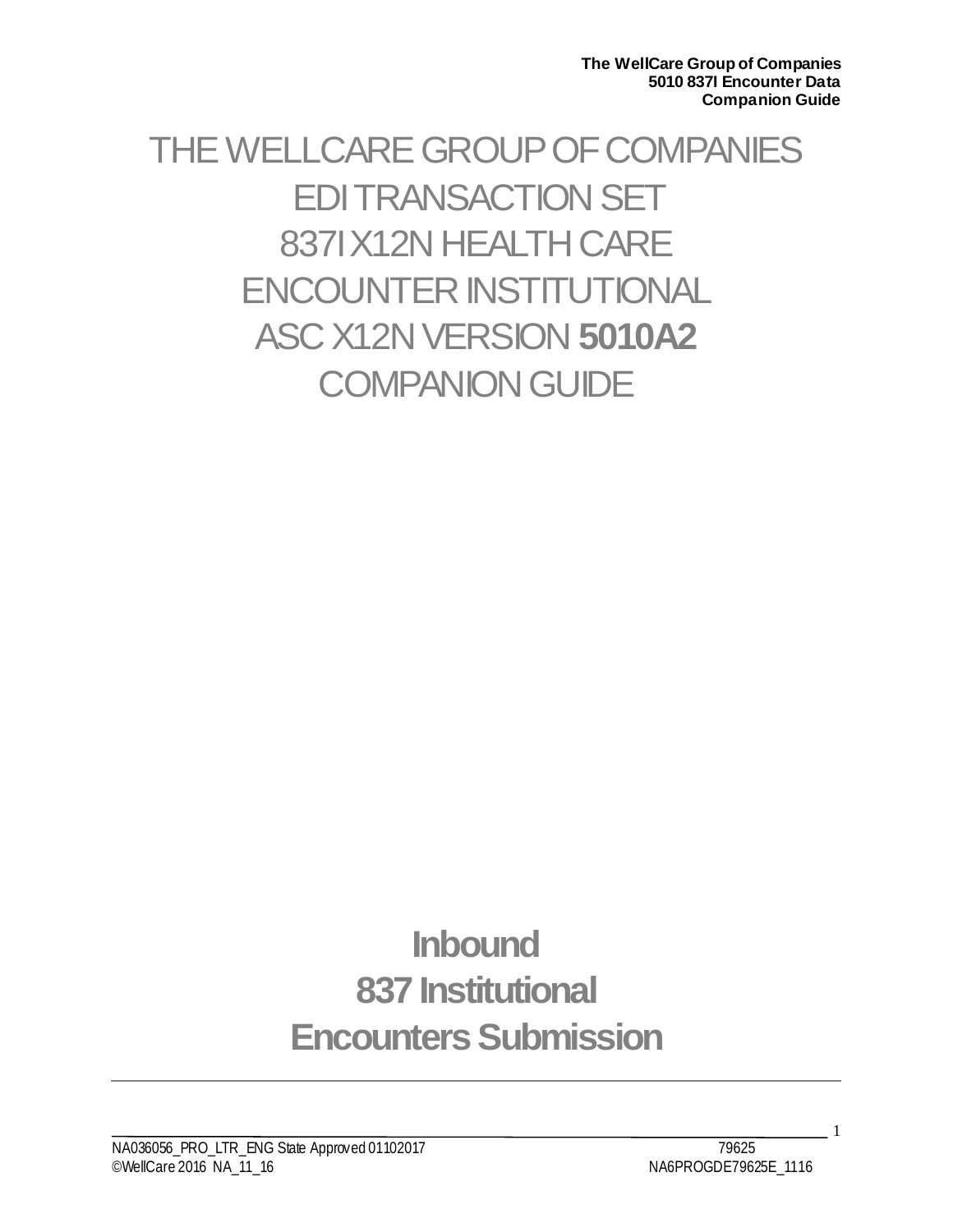# THE WELLCARE GROUP OF COMPANIES EDI TRANSACTION SET 837I X12N HEALTH CARE ENCOUNTER INSTITUTIONAL ASC X12N VERSION **5010A2 COMPANION GUIDE**

# **Inbound 837 Institutional Encounters Submission**

 $_{-1}$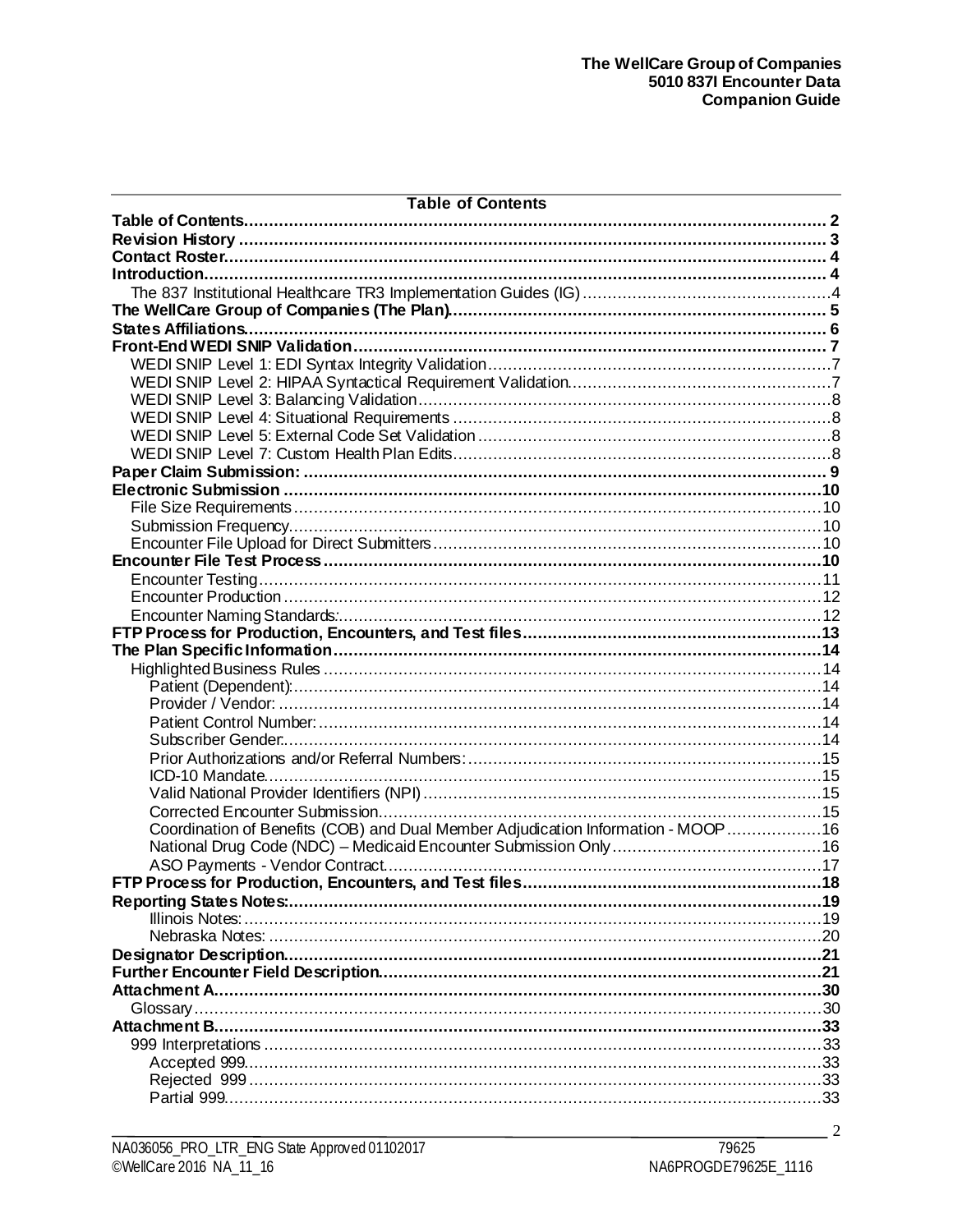<span id="page-1-0"></span>

| <b>Table of Contents</b>                                                          |  |  |  |  |  |
|-----------------------------------------------------------------------------------|--|--|--|--|--|
|                                                                                   |  |  |  |  |  |
|                                                                                   |  |  |  |  |  |
|                                                                                   |  |  |  |  |  |
|                                                                                   |  |  |  |  |  |
|                                                                                   |  |  |  |  |  |
|                                                                                   |  |  |  |  |  |
|                                                                                   |  |  |  |  |  |
|                                                                                   |  |  |  |  |  |
|                                                                                   |  |  |  |  |  |
|                                                                                   |  |  |  |  |  |
|                                                                                   |  |  |  |  |  |
|                                                                                   |  |  |  |  |  |
|                                                                                   |  |  |  |  |  |
|                                                                                   |  |  |  |  |  |
|                                                                                   |  |  |  |  |  |
|                                                                                   |  |  |  |  |  |
|                                                                                   |  |  |  |  |  |
|                                                                                   |  |  |  |  |  |
|                                                                                   |  |  |  |  |  |
|                                                                                   |  |  |  |  |  |
|                                                                                   |  |  |  |  |  |
|                                                                                   |  |  |  |  |  |
|                                                                                   |  |  |  |  |  |
|                                                                                   |  |  |  |  |  |
|                                                                                   |  |  |  |  |  |
|                                                                                   |  |  |  |  |  |
|                                                                                   |  |  |  |  |  |
|                                                                                   |  |  |  |  |  |
|                                                                                   |  |  |  |  |  |
|                                                                                   |  |  |  |  |  |
|                                                                                   |  |  |  |  |  |
|                                                                                   |  |  |  |  |  |
|                                                                                   |  |  |  |  |  |
|                                                                                   |  |  |  |  |  |
| Coordination of Benefits (COB) and Dual Member Adjudication Information - MOOP 16 |  |  |  |  |  |
|                                                                                   |  |  |  |  |  |
|                                                                                   |  |  |  |  |  |
|                                                                                   |  |  |  |  |  |
|                                                                                   |  |  |  |  |  |
|                                                                                   |  |  |  |  |  |
|                                                                                   |  |  |  |  |  |
|                                                                                   |  |  |  |  |  |
|                                                                                   |  |  |  |  |  |
|                                                                                   |  |  |  |  |  |
|                                                                                   |  |  |  |  |  |
|                                                                                   |  |  |  |  |  |
|                                                                                   |  |  |  |  |  |
|                                                                                   |  |  |  |  |  |
|                                                                                   |  |  |  |  |  |
|                                                                                   |  |  |  |  |  |
|                                                                                   |  |  |  |  |  |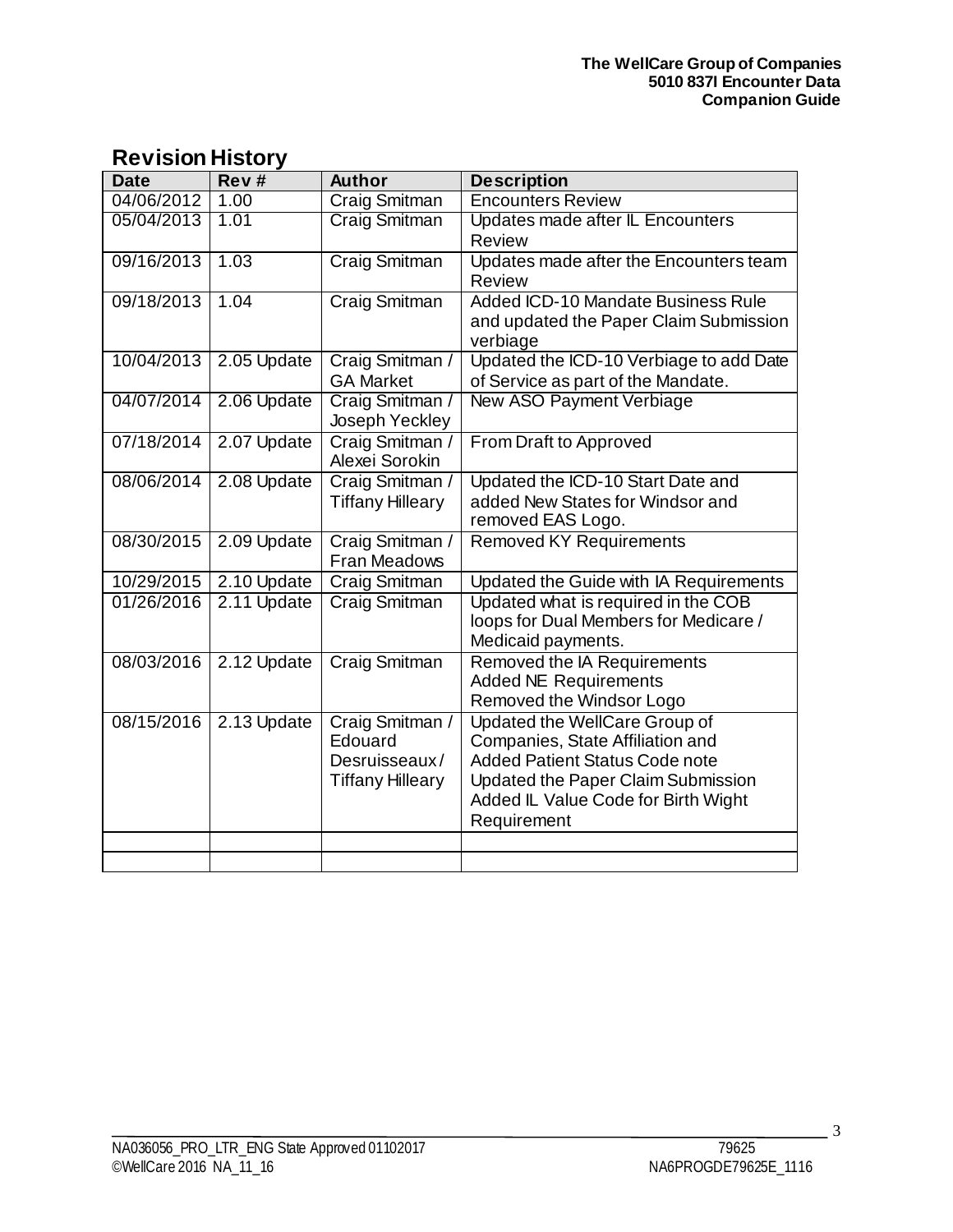# <span id="page-2-0"></span>**Revision History**

| <b>Date</b> | Rev#        | <b>Author</b>                                                          | <b>Description</b>                                                                                                                                                                                            |
|-------------|-------------|------------------------------------------------------------------------|---------------------------------------------------------------------------------------------------------------------------------------------------------------------------------------------------------------|
| 04/06/2012  | 1.00        | Craig Smitman                                                          | <b>Encounters Review</b>                                                                                                                                                                                      |
| 05/04/2013  | 1.01        | <b>Craig Smitman</b>                                                   | Updates made after IL Encounters<br>Review                                                                                                                                                                    |
|             |             |                                                                        |                                                                                                                                                                                                               |
| 09/16/2013  | 1.03        | <b>Craig Smitman</b>                                                   | Updates made after the Encounters team<br>Review                                                                                                                                                              |
| 09/18/2013  | 1.04        | <b>Craig Smitman</b>                                                   | Added ICD-10 Mandate Business Rule<br>and updated the Paper Claim Submission<br>verbiage                                                                                                                      |
| 10/04/2013  | 2.05 Update | Craig Smitman /<br><b>GA Market</b>                                    | Updated the ICD-10 Verbiage to add Date<br>of Service as part of the Mandate.                                                                                                                                 |
| 04/07/2014  | 2.06 Update | Craig Smitman /<br>Joseph Yeckley                                      | <b>New ASO Payment Verbiage</b>                                                                                                                                                                               |
| 07/18/2014  | 2.07 Update | Craig Smitman /<br>Alexei Sorokin                                      | <b>From Draft to Approved</b>                                                                                                                                                                                 |
| 08/06/2014  | 2.08 Update | Craig Smitman /<br><b>Tiffany Hilleary</b>                             | Updated the ICD-10 Start Date and<br>added New States for Windsor and<br>removed EAS Logo.                                                                                                                    |
| 08/30/2015  | 2.09 Update | Craig Smitman /<br><b>Fran Meadows</b>                                 | <b>Removed KY Requirements</b>                                                                                                                                                                                |
| 10/29/2015  | 2.10 Update | <b>Craig Smitman</b>                                                   | Updated the Guide with IA Requirements                                                                                                                                                                        |
| 01/26/2016  | 2.11 Update | Craig Smitman                                                          | Updated what is required in the COB<br>loops for Dual Members for Medicare /<br>Medicaid payments.                                                                                                            |
| 08/03/2016  | 2.12 Update | Craig Smitman                                                          | Removed the IA Requirements<br><b>Added NE Requirements</b><br>Removed the Windsor Logo                                                                                                                       |
| 08/15/2016  | 2.13 Update | Craig Smitman /<br>Edouard<br>Desruisseaux/<br><b>Tiffany Hilleary</b> | Updated the WellCare Group of<br>Companies, State Affiliation and<br><b>Added Patient Status Code note</b><br><b>Updated the Paper Claim Submission</b><br>Added IL Value Code for Birth Wight<br>Requirement |
|             |             |                                                                        |                                                                                                                                                                                                               |

 $=$  3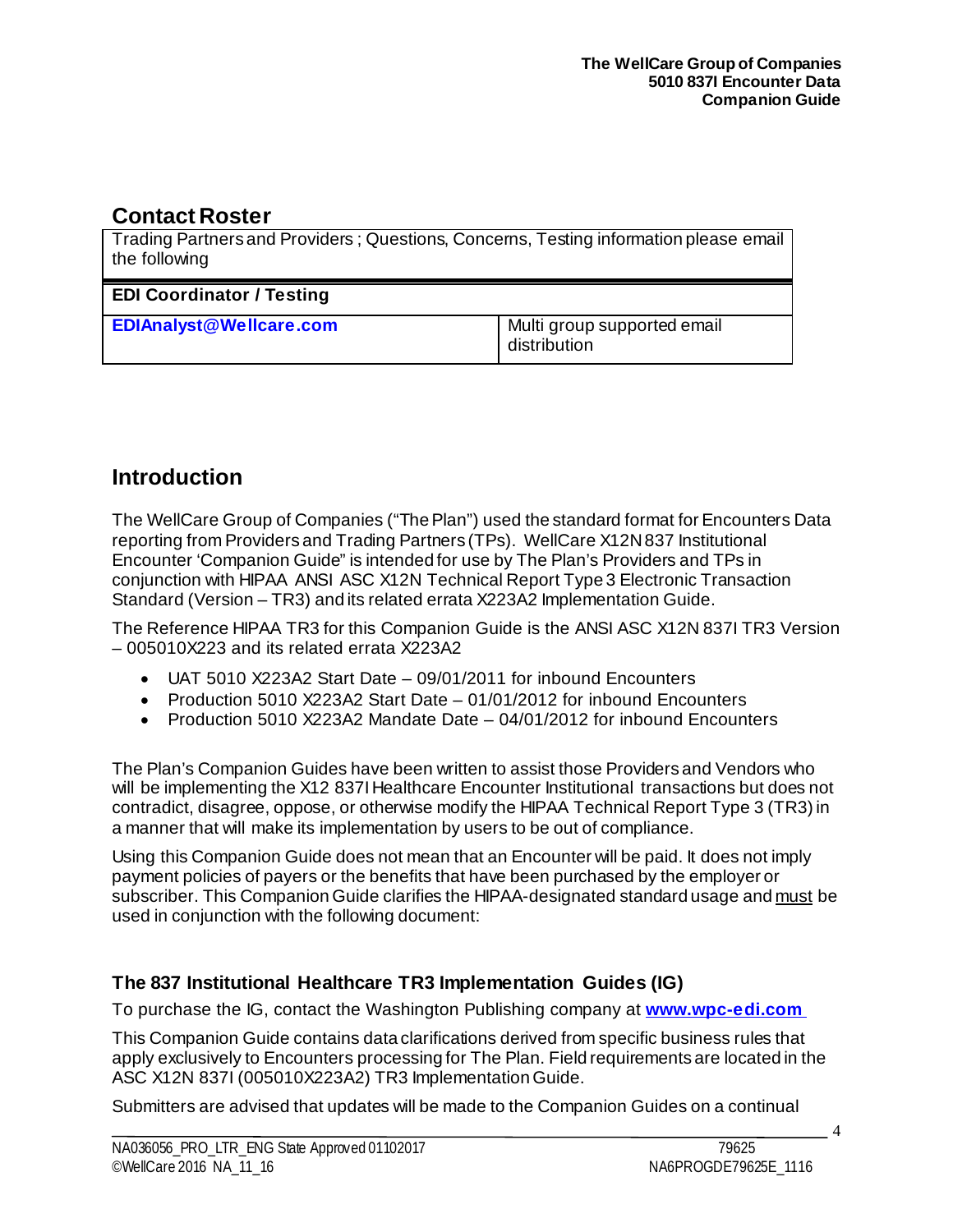### <span id="page-3-0"></span>**Contact Roster**

| Trading Partners and Providers; Questions, Concerns, Testing information please email<br>the following |                                             |  |  |  |  |
|--------------------------------------------------------------------------------------------------------|---------------------------------------------|--|--|--|--|
| <b>EDI Coordinator / Testing</b>                                                                       |                                             |  |  |  |  |
| <b>EDIAnalyst@Wellcare.com</b>                                                                         | Multi group supported email<br>distribution |  |  |  |  |

# <span id="page-3-1"></span>**Introduction**

The WellCare Group of Companies ("The Plan") used the standard format for Encounters Data reporting from Providers and Trading Partners (TPs). WellCare X12N 837 Institutional Encounter 'Companion Guide" is intended for use by The Plan's Providers and TPs in conjunction with HIPAA ANSI ASC X12N Technical Report Type 3 Electronic Transaction Standard (Version – TR3) and its related errata X223A2 Implementation Guide.

The Reference HIPAA TR3 for this Companion Guide is the ANSI ASC X12N 837I TR3 Version – 005010X223 and its related errata X223A2

- UAT 5010 X223A2 Start Date 09/01/2011 for inbound Encounters
- Production 5010 X223A2 Start Date 01/01/2012 for inbound Encounters
- Production 5010 X223A2 Mandate Date 04/01/2012 for inbound Encounters

The Plan's Companion Guides have been written to assist those Providers and Vendors who will be implementing the X12 837I Healthcare Encounter Institutional transactions but does not contradict, disagree, oppose, or otherwise modify the HIPAA Technical Report Type 3 (TR3) in a manner that will make its implementation by users to be out of compliance.

Using this Companion Guide does not mean that an Encounter will be paid. It does not imply payment policies of payers or the benefits that have been purchased by the employer or subscriber. This Companion Guide clarifies the HIPAA-designated standard usage and must be used in conjunction with the following document:

### <span id="page-3-2"></span>**The 837 Institutional Healthcare TR3 Implementation Guides (IG)**

To purchase the IG, contact the Washington Publishing company at **[www.wpc-edi.co](http://www.wpc-edi.com/)m**

This Companion Guide contains data clarifications derived from specific business rules that apply exclusively to Encounters processing for The Plan. Field requirements are located in the ASC X12N 837I (005010X223A2) TR3 Implementation Guide.

Submitters are advised that updates will be made to the Companion Guides on a continual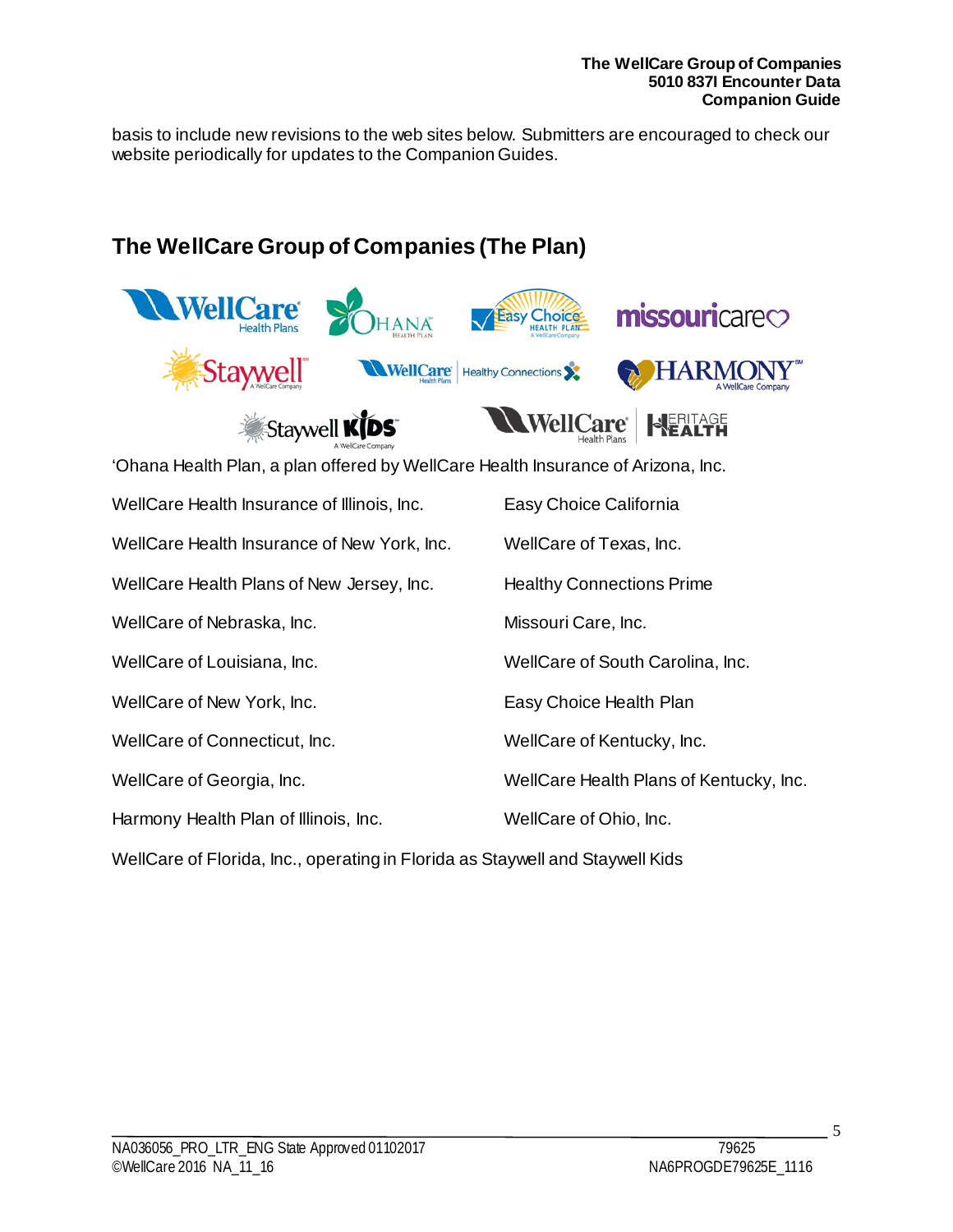basis to include new revisions to the web sites below. Submitters are encouraged to check our website periodically for updates to the Companion Guides.

# <span id="page-4-0"></span>**The WellCare Group of Companies (The Plan)**



'Ohana Health Plan, a plan offered by WellCare Health Insurance of Arizona, Inc.

| WellCare Health Insurance of Illinois, Inc. | Easy Choice California                  |
|---------------------------------------------|-----------------------------------------|
| WellCare Health Insurance of New York, Inc. | WellCare of Texas, Inc.                 |
| WellCare Health Plans of New Jersey, Inc.   | <b>Healthy Connections Prime</b>        |
| WellCare of Nebraska, Inc.                  | Missouri Care, Inc.                     |
| WellCare of Louisiana, Inc.                 | WellCare of South Carolina, Inc.        |
| WellCare of New York, Inc.                  | Easy Choice Health Plan                 |
| WellCare of Connecticut, Inc.               | WellCare of Kentucky, Inc.              |
| WellCare of Georgia, Inc.                   | WellCare Health Plans of Kentucky, Inc. |
| Harmony Health Plan of Illinois, Inc.       | WellCare of Ohio, Inc.                  |
|                                             |                                         |

WellCare of Florida, Inc., operating in Florida as Staywell and Staywell Kids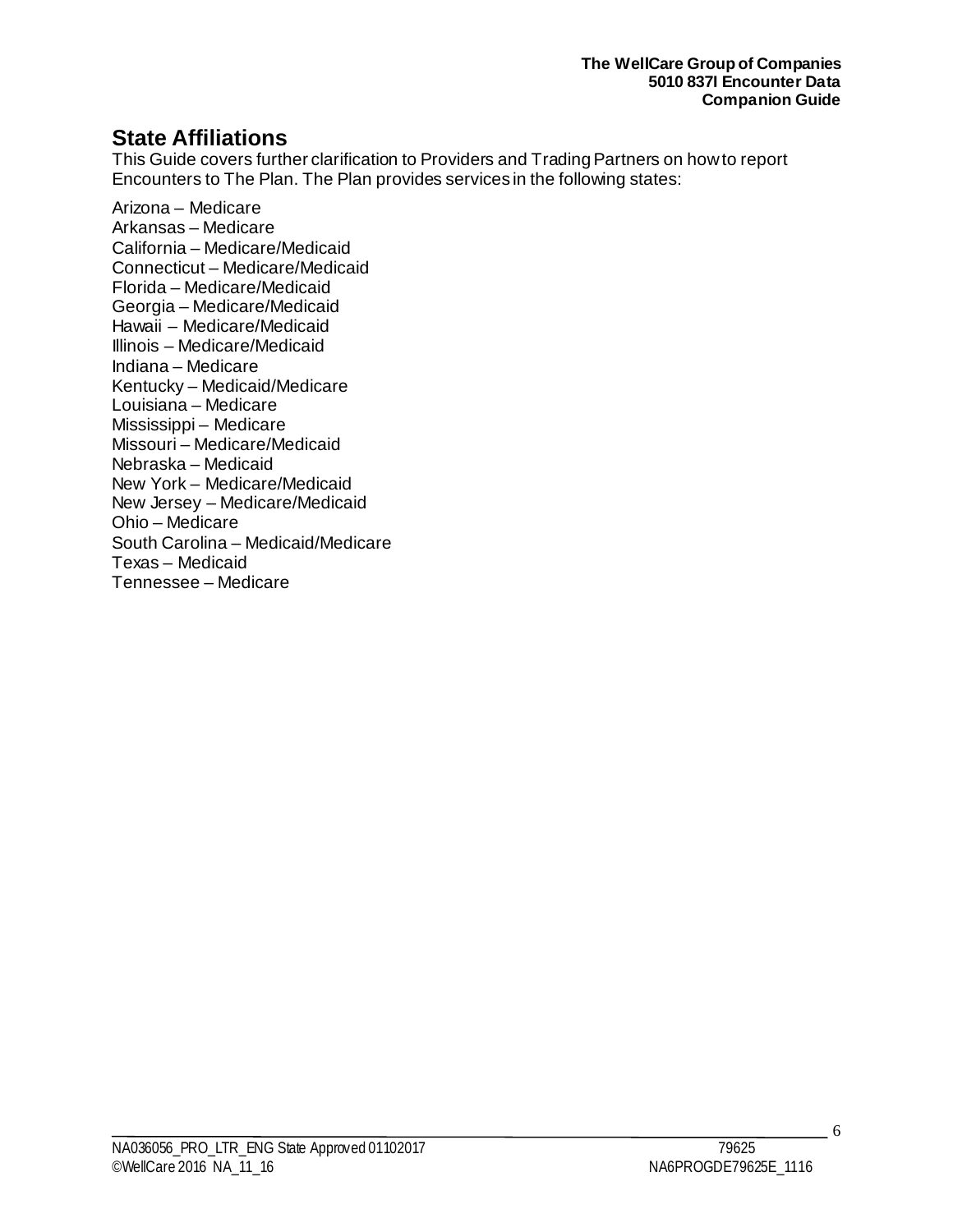# <span id="page-5-0"></span>**State Affiliations**

This Guide covers further clarification to Providers and Trading Partners on how to report Encounters to The Plan. The Plan provides services in the following states:

Arizona – Medicare Arkansas – Medicare California – Medicare/Medicaid Connecticut – Medicare/Medicaid Florida – Medicare/Medicaid Georgia – Medicare/Medicaid Hawaii – Medicare/Medicaid Illinois – Medicare/Medicaid Indiana – Medicare Kentucky – Medicaid/Medicare Louisiana – Medicare Mississippi – Medicare Missouri – Medicare/Medicaid Nebraska – Medicaid New York – Medicare/Medicaid New Jersey – Medicare/Medicaid Ohio – Medicare South Carolina – Medicaid/Medicare Texas – Medicaid Tennessee – Medicare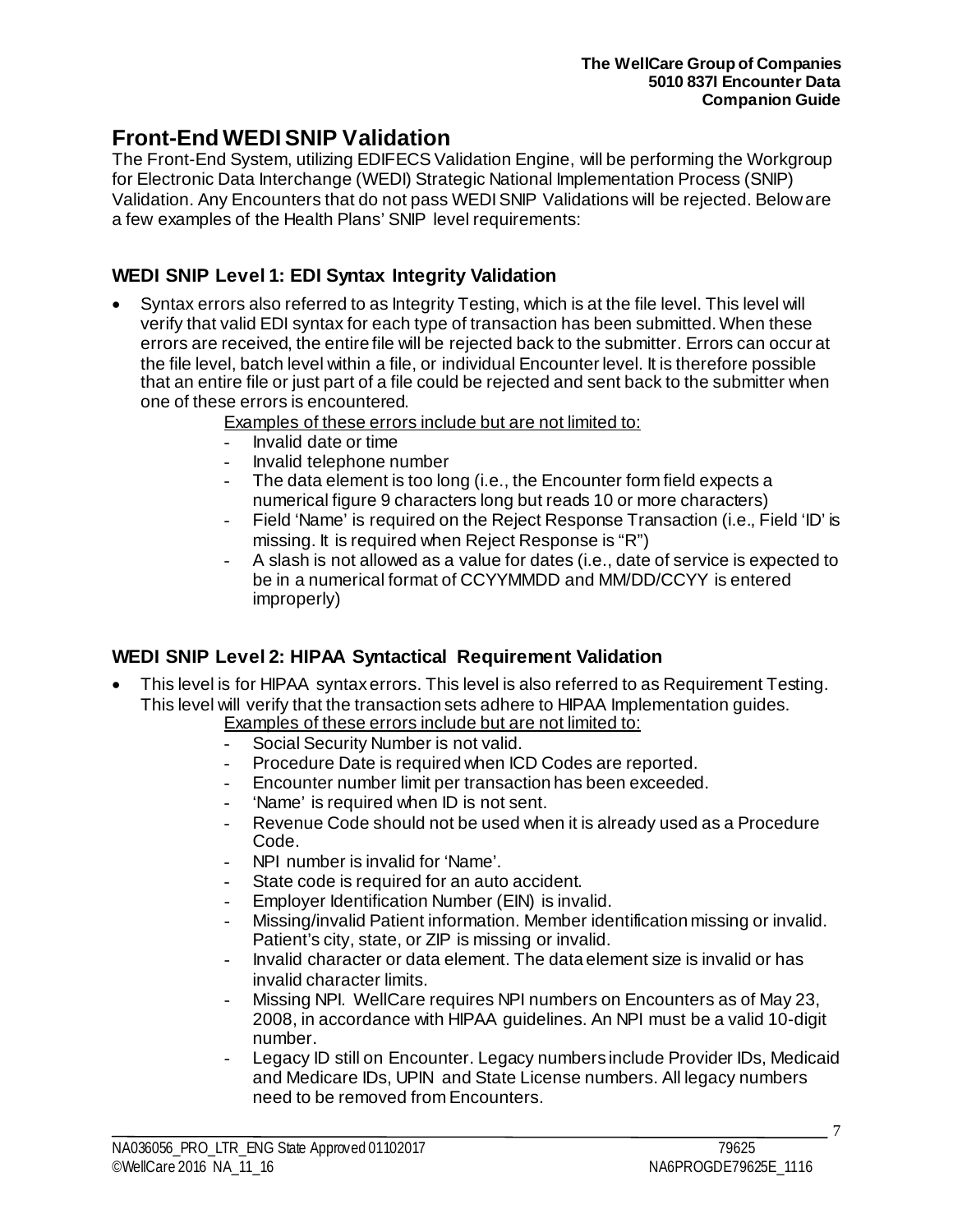# <span id="page-6-0"></span>**Front-End WEDI SNIP Validation**

The Front-End System, utilizing EDIFECS Validation Engine, will be performing the Workgroup for Electronic Data Interchange (WEDI) Strategic National Implementation Process (SNIP) Validation. Any Encounters that do not pass WEDI SNIP Validations will be rejected. Below are a few examples of the Health Plans' SNIP level requirements:

### <span id="page-6-1"></span>**WEDI SNIP Level 1: EDI Syntax Integrity Validation**

• Syntax errors also referred to as Integrity Testing, which is at the file level. This level will verify that valid EDI syntax for each type of transaction has been submitted. When these errors are received, the entire file will be rejected back to the submitter. Errors can occur at the file level, batch level within a file, or individual Encounter level. It is therefore possible that an entire file or just part of a file could be rejected and sent back to the submitter when one of these errors is encountered.

Examples of these errors include but are not limited to:

- Invalid date or time
- Invalid telephone number
- The data element is too long (i.e., the Encounter form field expects a numerical figure 9 characters long but reads 10 or more characters)
- Field 'Name' is required on the Reject Response Transaction (i.e., Field 'ID' is missing. It is required when Reject Response is "R")
- A slash is not allowed as a value for dates (i.e., date of service is expected to be in a numerical format of CCYYMMDD and MM/DD/CCYY is entered improperly)

#### <span id="page-6-2"></span>**WEDI SNIP Level 2: HIPAA Syntactical Requirement Validation**

• This level is for HIPAA syntax errors. This level is also referred to as Requirement Testing. This level will verify that the transaction sets adhere to HIPAA Implementation guides.

Examples of these errors include but are not limited to:

- Social Security Number is not valid.
- Procedure Date is required when ICD Codes are reported.
- Encounter number limit per transaction has been exceeded.
- 'Name' is required when ID is not sent.
- Revenue Code should not be used when it is already used as a Procedure Code.
- NPI number is invalid for 'Name'.
- State code is required for an auto accident.
- Employer Identification Number (EIN) is invalid.
- Missing/invalid Patient information. Member identification missing or invalid. Patient's city, state, or ZIP is missing or invalid.
- Invalid character or data element. The data element size is invalid or has invalid character limits.
- Missing NPI. WellCare requires NPI numbers on Encounters as of May 23, 2008, in accordance with HIPAA guidelines. An NPI must be a valid 10-digit number.
- Legacy ID still on Encounter. Legacy numbers include Provider IDs, Medicaid and Medicare IDs, UPIN and State License numbers. All legacy numbers need to be removed from Encounters.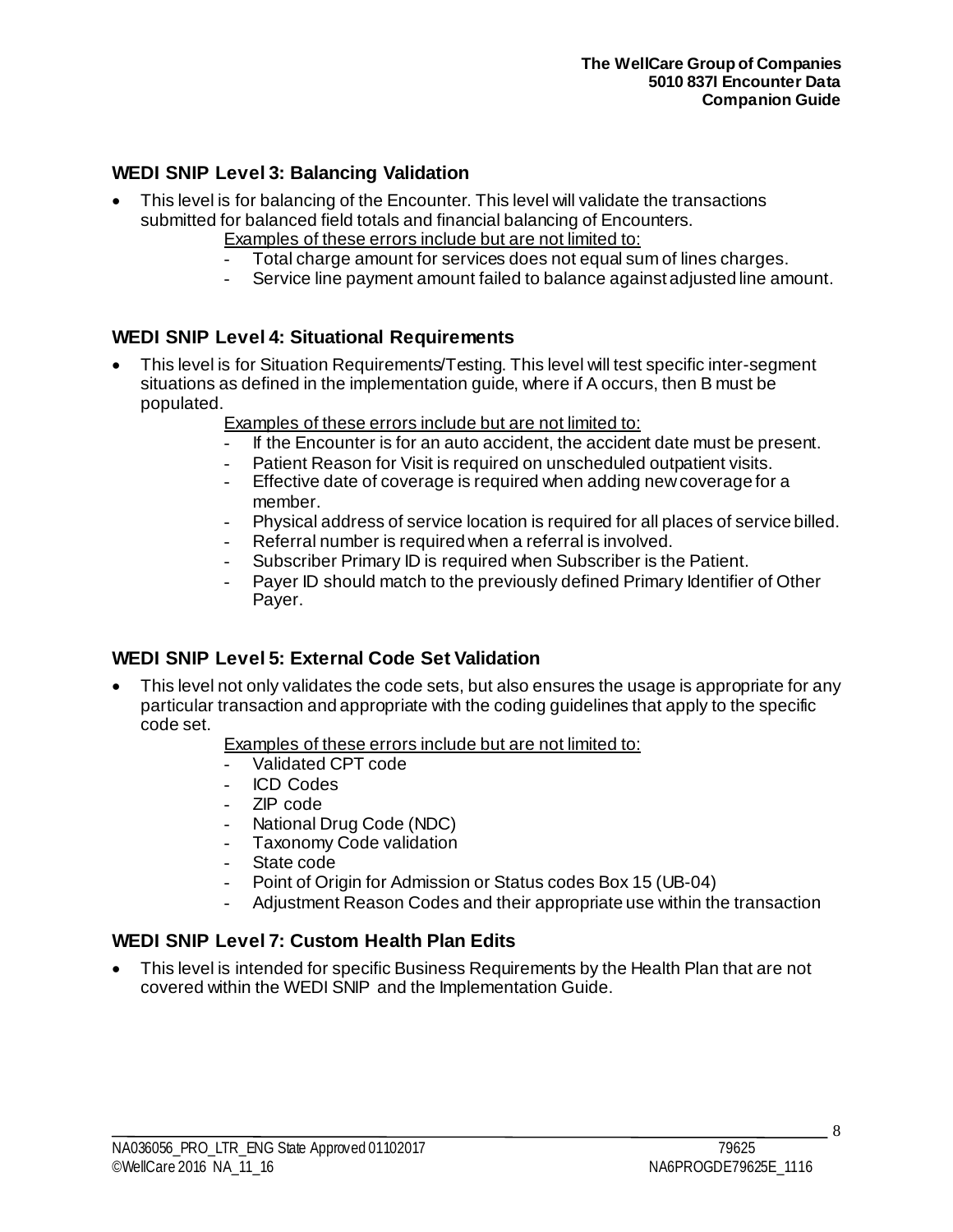### <span id="page-7-0"></span>**WEDI SNIP Level 3: Balancing Validation**

- This level is for balancing of the Encounter. This level will validate the transactions submitted for balanced field totals and financial balancing of Encounters.
	- Examples of these errors include but are not limited to:
	- Total charge amount for services does not equal sum of lines charges.
	- Service line payment amount failed to balance against adjusted line amount.

#### <span id="page-7-1"></span>**WEDI SNIP Level 4: Situational Requirements**

- This level is for Situation Requirements/Testing. This level will test specific inter-segment situations as defined in the implementation guide, where if A occurs, then B must be populated.
	- Examples of these errors include but are not limited to:
	- If the Encounter is for an auto accident, the accident date must be present.
	- Patient Reason for Visit is required on unscheduled outpatient visits.
	- Effective date of coverage is required when adding new coverage for a member.
	- Physical address of service location is required for all places of service billed.
	- Referral number is required when a referral is involved.
	- Subscriber Primary ID is required when Subscriber is the Patient.<br>- Paver ID should match to the previously defined Primary Identifier
	- Payer ID should match to the previously defined Primary Identifier of Other Payer.

#### <span id="page-7-2"></span>**WEDI SNIP Level 5: External Code Set Validation**

• This level not only validates the code sets, but also ensures the usage is appropriate for any particular transaction and appropriate with the coding guidelines that apply to the specific code set.

Examples of these errors include but are not limited to:

- Validated CPT code
- ICD Codes
- ZIP code
- National Drug Code (NDC)
- Taxonomy Code validation
- State code
- Point of Origin for Admission or Status codes Box 15 (UB-04)
- Adjustment Reason Codes and their appropriate use within the transaction

#### <span id="page-7-3"></span>**WEDI SNIP Level 7: Custom Health Plan Edits**

• This level is intended for specific Business Requirements by the Health Plan that are not covered within the WEDI SNIP and the Implementation Guide.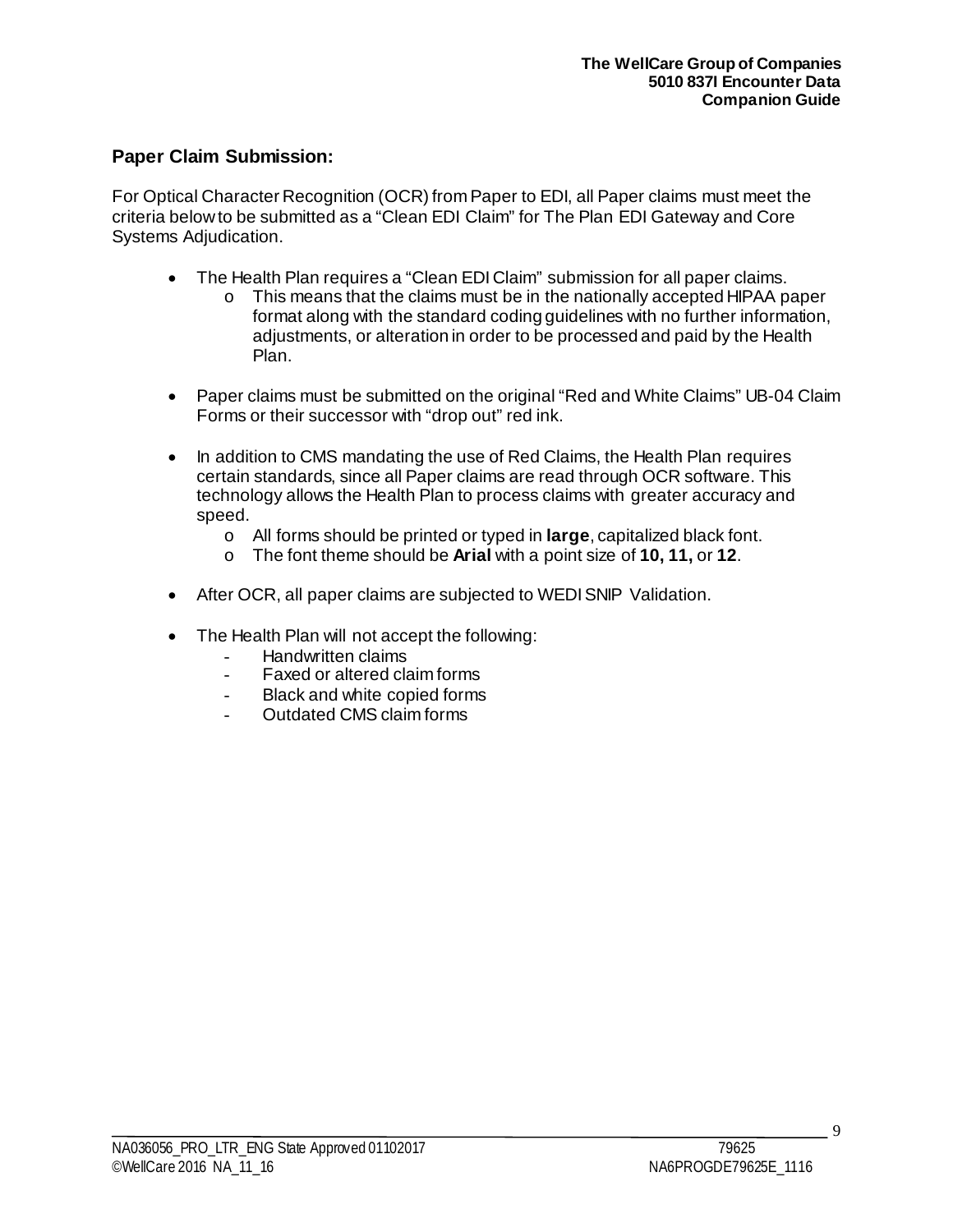#### <span id="page-8-0"></span>**Paper Claim Submission:**

For Optical Character Recognition (OCR) from Paper to EDI, all Paper claims must meet the criteria below to be submitted as a "Clean EDI Claim" for The Plan EDI Gateway and Core Systems Adjudication.

- The Health Plan requires a "Clean EDI Claim" submission for all paper claims.
	- o This means that the claims must be in the nationally accepted HIPAA paper format along with the standard coding guidelines with no further information, adjustments, or alteration in order to be processed and paid by the Health Plan.
- Paper claims must be submitted on the original "Red and White Claims" UB-04 Claim Forms or their successor with "drop out" red ink.
- In addition to CMS mandating the use of Red Claims, the Health Plan requires certain standards, since all Paper claims are read through OCR software. This technology allows the Health Plan to process claims with greater accuracy and speed.
	- o All forms should be printed or typed in **large**, capitalized black font.
	- o The font theme should be **Arial** with a point size of **10, 11,** or **12**.
- After OCR, all paper claims are subjected to WEDI SNIP Validation.
- The Health Plan will not accept the following:
	- Handwritten claims
	- Faxed or altered claim forms
	- Black and white copied forms
	- Outdated CMS claim forms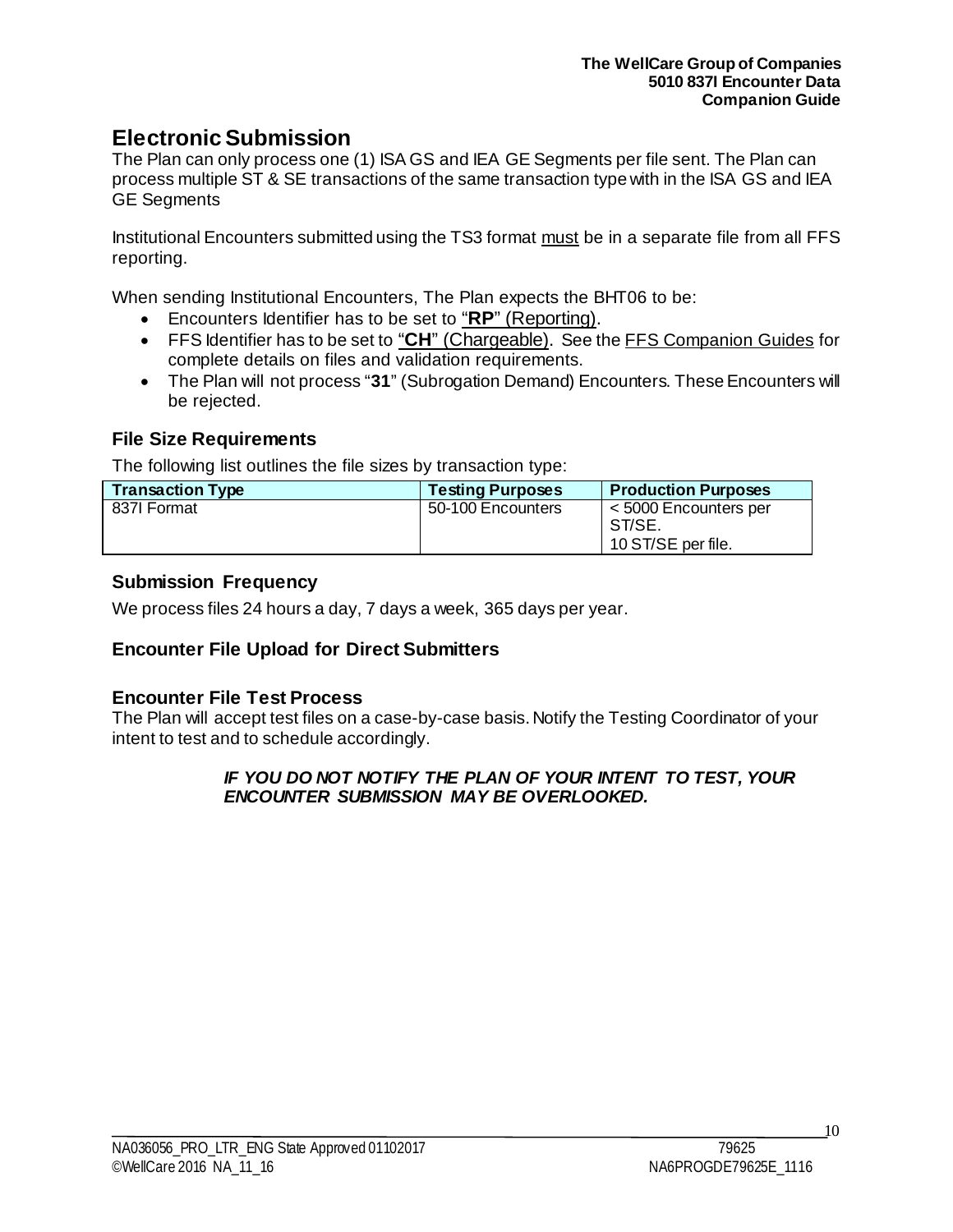# <span id="page-9-0"></span>**Electronic Submission**

The Plan can only process one (1) ISA GS and IEA GE Segments per file sent. The Plan can process multiple ST & SE transactions of the same transaction type with in the ISA GS and IEA GE Segments

Institutional Encounters submitted using the TS3 format must be in a separate file from all FFS reporting.

When sending Institutional Encounters, The Plan expects the BHT06 to be:

- Encounters Identifier has to be set to "**RP**" (Reporting).
- FFS Identifier has to be set to "**CH**" (Chargeable). See the FFS Companion Guides for complete details on files and validation requirements.
- The Plan will not process "**31**" (Subrogation Demand) Encounters. These Encounters will be rejected.

#### <span id="page-9-1"></span>**File Size Requirements**

The following list outlines the file sizes by transaction type:

| <b>Transaction Type</b> | <b>Testing Purposes</b> | <b>Production Purposes</b>                                 |
|-------------------------|-------------------------|------------------------------------------------------------|
| 837I Format             | 50-100 Encounters       | $\leq 5000$ Encounters per<br>ST/SE.<br>10 ST/SE per file. |

#### <span id="page-9-2"></span>**Submission Frequency**

We process files 24 hours a day, 7 days a week, 365 days per year.

#### <span id="page-9-3"></span>**Encounter File Upload for Direct Submitters**

#### <span id="page-9-4"></span>**Encounter File Test Process**

The Plan will accept test files on a case-by-case basis. Notify the Testing Coordinator of your intent to test and to schedule accordingly.

#### *IF YOU DO NOT NOTIFY THE PLAN OF YOUR INTENT TO TEST, YOUR ENCOUNTER SUBMISSION MAY BE OVERLOOKED.*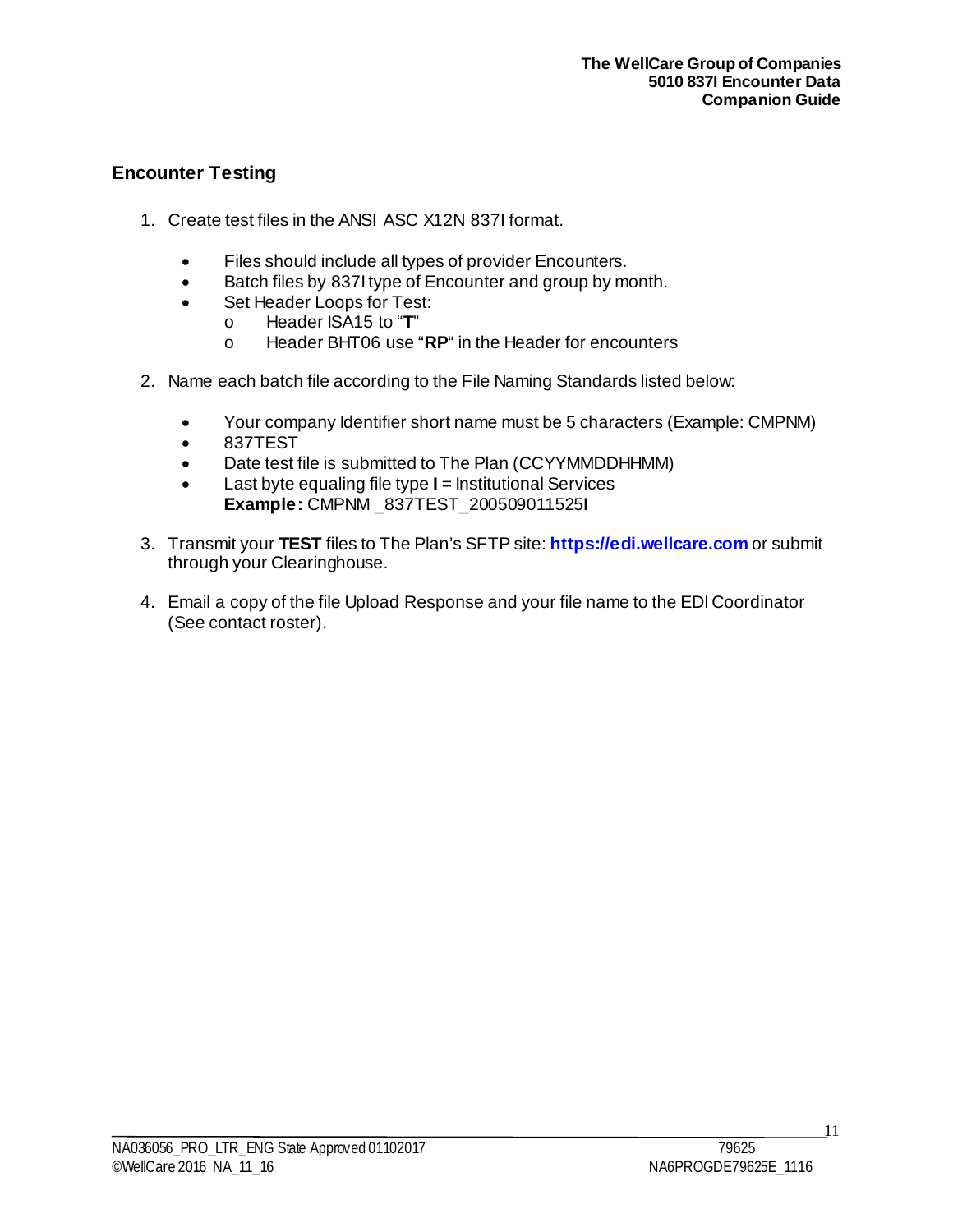#### <span id="page-10-0"></span>**Encounter Testing**

- 1. Create test files in the ANSI ASC X12N 837I format.
	- Files should include all types of provider Encounters.
	- Batch files by 837I type of Encounter and group by month.
	- Set Header Loops for Test:
		- o Header ISA15 to "**T**"
		- Header BHT06 use "RP" in the Header for encounters
- 2. Name each batch file according to the File Naming Standards listed below:
	- Your company Identifier short name must be 5 characters (Example: CMPNM)
	- 837TEST
	- Date test file is submitted to The Plan (CCYYMMDDHHMM)
	- Last byte equaling file type **I** = Institutional Services **Example:** CMPNM \_837TEST\_200509011525**I**
- 3. Transmit your **TEST** files to The Plan's SFTP site: **[https://edi.wellcare.com](https://edi.wellcare.com/)** or submit through your Clearinghouse.
- 4. Email a copy of the file Upload Response and your file name to the EDI Coordinator (See contact roster).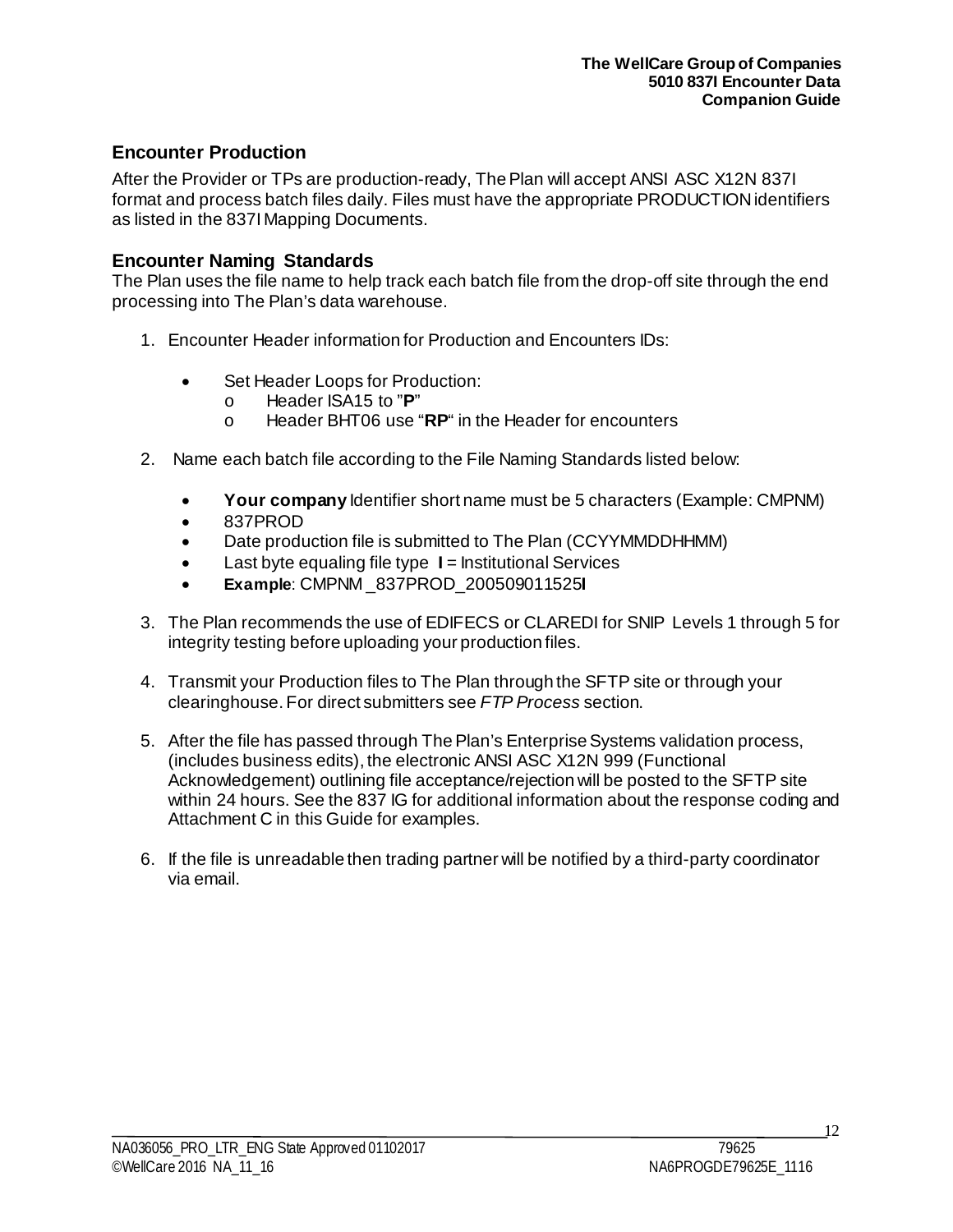#### <span id="page-11-0"></span>**Encounter Production**

After the Provider or TPs are production-ready, The Plan will accept ANSI ASC X12N 837I format and process batch files daily. Files must have the appropriate PRODUCTION identifiers as listed in the 837I Mapping Documents.

#### <span id="page-11-1"></span>**Encounter Naming Standards**

The Plan uses the file name to help track each batch file from the drop-off site through the end processing into The Plan's data warehouse.

- 1. Encounter Header information for Production and Encounters IDs:
	- Set Header Loops for Production:
		- o Header ISA15 to "**P**"
		- Header BHT06 use "RP" in the Header for encounters
- 2. Name each batch file according to the File Naming Standards listed below:
	- **Your company** Identifier short name must be 5 characters (Example: CMPNM)
	- 837PROD
	- Date production file is submitted to The Plan (CCYYMMDDHHMM)
	- Last byte equaling file type **I** = Institutional Services
	- **Example**: CMPNM \_837PROD\_200509011525**I**
- 3. The Plan recommends the use of EDIFECS or CLAREDI for SNIP Levels 1 through 5 for integrity testing before uploading your production files.
- 4. Transmit your Production files to The Plan through the SFTP site or through your clearinghouse. For direct submitters see *FTP Process* section.
- 5. After the file has passed through The Plan's Enterprise Systems validation process, (includes business edits), the electronic ANSI ASC X12N 999 (Functional Acknowledgement) outlining file acceptance/rejection will be posted to the SFTP site within 24 hours. See the 837 IG for additional information about the response coding and Attachment C in this Guide for examples.
- 6. If the file is unreadable then trading partner will be notified by a third-party coordinator via email.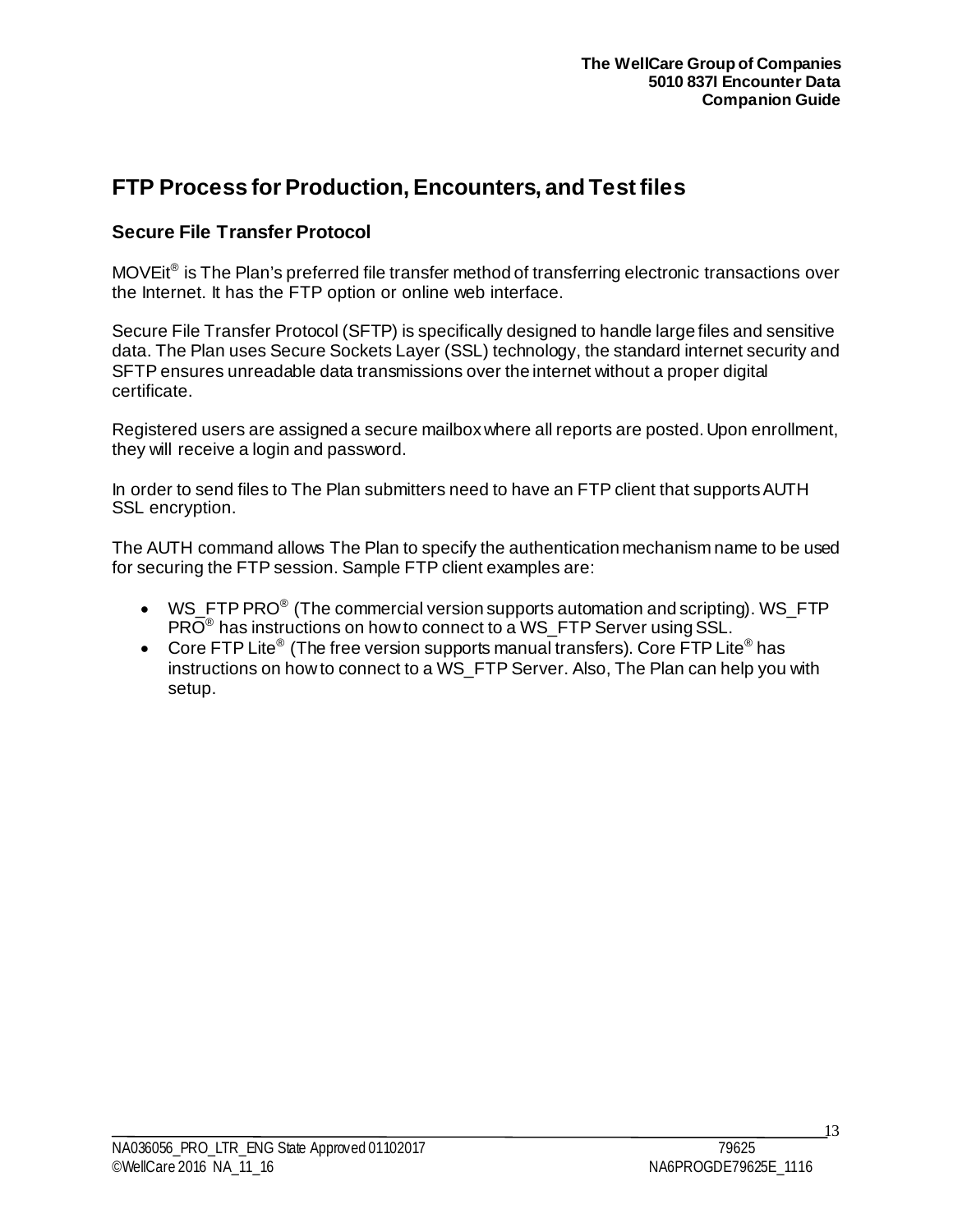# <span id="page-12-0"></span>**FTP Process for Production, Encounters, and Test files**

### **Secure File Transfer Protocol**

MOVEit<sup>®</sup> is The Plan's preferred file transfer method of transferring electronic transactions over the Internet. It has the FTP option or online web interface.

Secure File Transfer Protocol (SFTP) is specifically designed to handle large files and sensitive data. The Plan uses Secure Sockets Layer (SSL) technology, the standard internet security and SFTP ensures unreadable data transmissions over the internet without a proper digital certificate.

Registered users are assigned a secure mailbox where all reports are posted. Upon enrollment, they will receive a login and password.

In order to send files to The Plan submitters need to have an FTP client that supports AUTH SSL encryption.

The AUTH command allows The Plan to specify the authentication mechanism name to be used for securing the FTP session. Sample FTP client examples are:

- WS FTP PRO<sup>®</sup> (The commercial version supports automation and scripting). WS FTP PRO® has instructions on how to connect to a WS\_FTP Server using SSL.
- Core FTP Lite<sup>®</sup> (The free version supports manual transfers). Core FTP Lite<sup>®</sup> has instructions on how to connect to a WS FTP Server. Also, The Plan can help you with setup.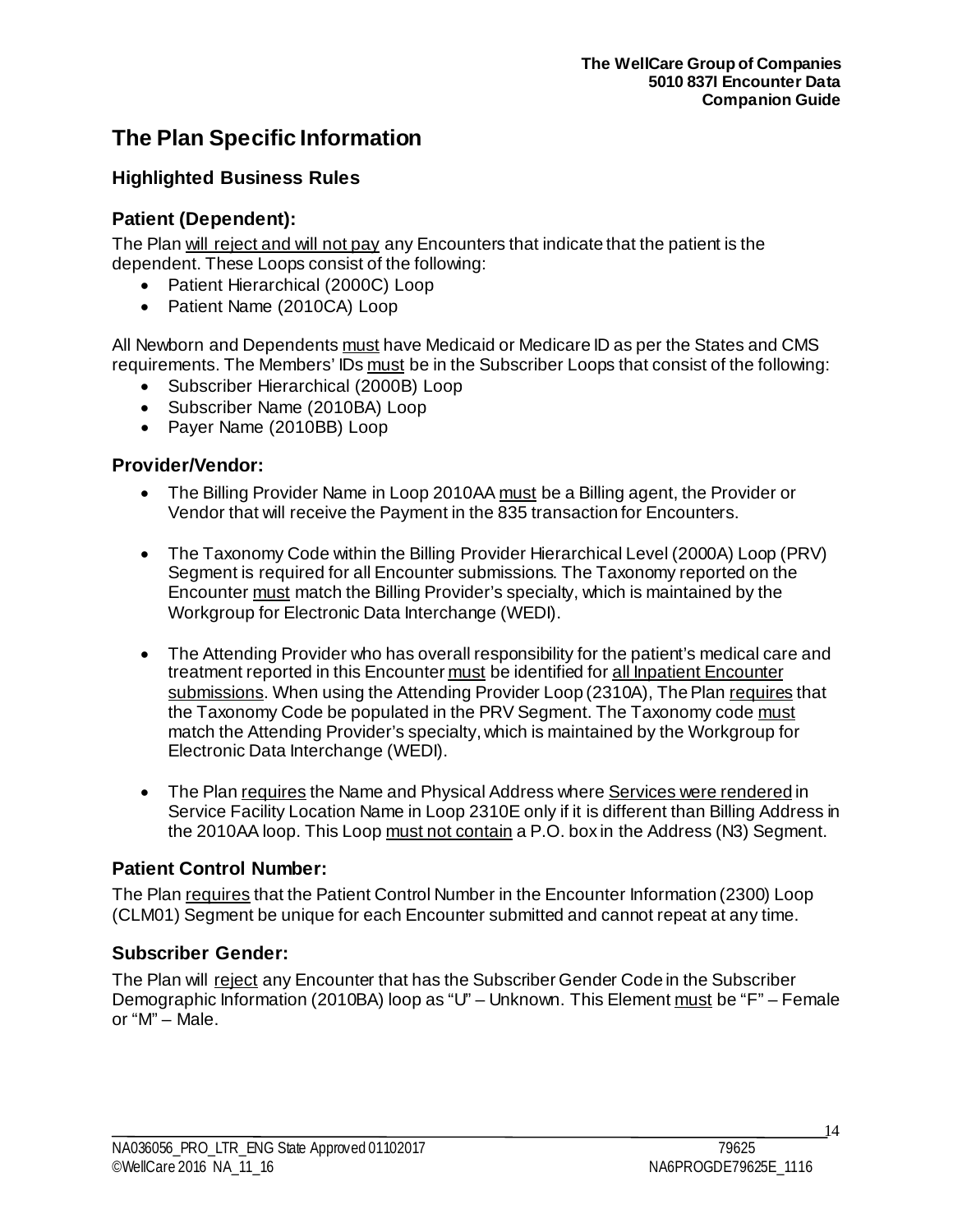# <span id="page-13-0"></span>**The Plan Specific Information**

### <span id="page-13-1"></span>**Highlighted Business Rules**

### <span id="page-13-2"></span>**Patient (Dependent):**

The Plan will reject and will not pay any Encounters that indicate that the patient is the dependent. These Loops consist of the following:

- Patient Hierarchical (2000C) Loop
- Patient Name (2010CA) Loop

All Newborn and Dependents must have Medicaid or Medicare ID as per the States and CMS requirements. The Members' IDs must be in the Subscriber Loops that consist of the following:

- Subscriber Hierarchical (2000B) Loop
- Subscriber Name (2010BA) Loop
- Payer Name (2010BB) Loop

#### <span id="page-13-3"></span>**Provider/Vendor:**

- The Billing Provider Name in Loop 2010AA must be a Billing agent, the Provider or Vendor that will receive the Payment in the 835 transaction for Encounters.
- The Taxonomy Code within the Billing Provider Hierarchical Level (2000A) Loop (PRV) Segment is required for all Encounter submissions. The Taxonomy reported on the Encounter must match the Billing Provider's specialty, which is maintained by the Workgroup for Electronic Data Interchange (WEDI).
- The Attending Provider who has overall responsibility for the patient's medical care and treatment reported in this Encounter must be identified for all Inpatient Encounter submissions. When using the Attending Provider Loop (2310A), The Plan requires that the Taxonomy Code be populated in the PRV Segment. The Taxonomy code must match the Attending Provider's specialty, which is maintained by the Workgroup for Electronic Data Interchange (WEDI).
- The Plan requires the Name and Physical Address where Services were rendered in Service Facility Location Name in Loop 2310E only if it is different than Billing Address in the 2010AA loop. This Loop must not contain a P.O. box in the Address (N3) Segment.

#### <span id="page-13-4"></span>**Patient Control Number:**

The Plan requires that the Patient Control Number in the Encounter Information (2300) Loop (CLM01) Segment be unique for each Encounter submitted and cannot repeat at any time.

#### <span id="page-13-5"></span>**Subscriber Gender:**

The Plan will reject any Encounter that has the Subscriber Gender Code in the Subscriber Demographic Information (2010BA) loop as "U" – Unknown. This Element must be "F" – Female or "M" – Male.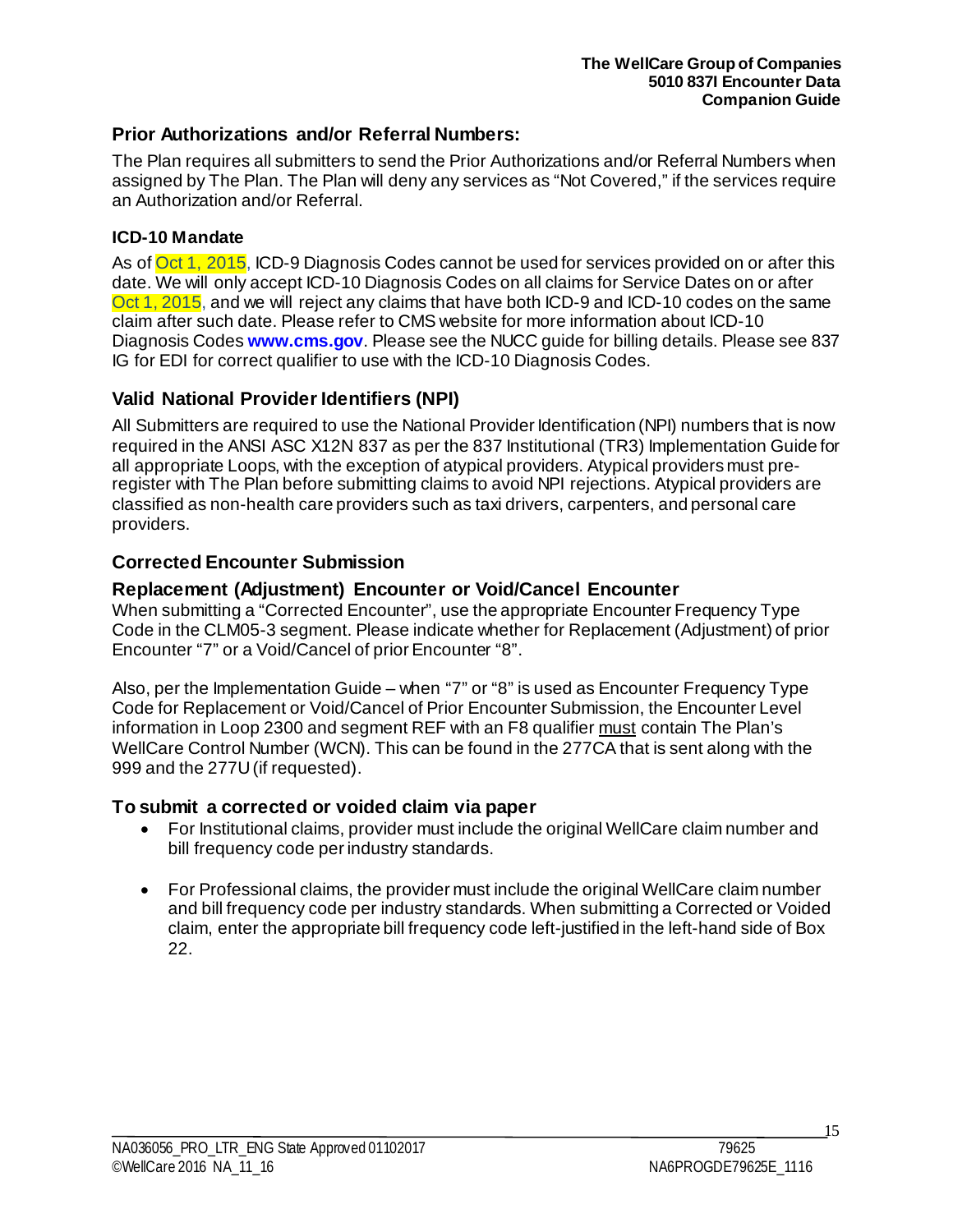#### <span id="page-14-0"></span>**Prior Authorizations and/or Referral Numbers:**

The Plan requires all submitters to send the Prior Authorizations and/or Referral Numbers when assigned by The Plan. The Plan will deny any services as "Not Covered," if the services require an Authorization and/or Referral.

#### <span id="page-14-1"></span>**ICD-10 Mandate**

As of Oct 1, 2015, ICD-9 Diagnosis Codes cannot be used for services provided on or after this date. We will only accept ICD-10 Diagnosis Codes on all claims for Service Dates on or after Oct 1, 2015, and we will reject any claims that have both ICD-9 and ICD-10 codes on the same claim after such date. Please refer to CMS website for more information about ICD-10 Diagnosis Codes **[www.cms.gov](http://www.cms.gov/)**. Please see the NUCC guide for billing details. Please see 837 IG for EDI for correct qualifier to use with the ICD-10 Diagnosis Codes.

#### <span id="page-14-2"></span>**Valid National Provider Identifiers (NPI)**

All Submitters are required to use the National Provider Identification (NPI) numbers that is now required in the ANSI ASC X12N 837 as per the 837 Institutional (TR3) Implementation Guide for all appropriate Loops, with the exception of atypical providers. Atypical providers must preregister with The Plan before submitting claims to avoid NPI rejections. Atypical providers are classified as non-health care providers such as taxi drivers, carpenters, and personal care providers.

#### <span id="page-14-3"></span>**Corrected Encounter Submission**

#### **Replacement (Adjustment) Encounter or Void/Cancel Encounter**

When submitting a "Corrected Encounter", use the appropriate Encounter Frequency Type Code in the CLM05-3 segment. Please indicate whether for Replacement (Adjustment) of prior Encounter "7" or a Void/Cancel of prior Encounter "8".

Also, per the Implementation Guide – when "7" or "8" is used as Encounter Frequency Type Code for Replacement or Void/Cancel of Prior Encounter Submission, the Encounter Level information in Loop 2300 and segment REF with an F8 qualifier must contain The Plan's WellCare Control Number (WCN). This can be found in the 277CA that is sent along with the 999 and the 277U(if requested).

#### **To submit a corrected or voided claim via paper**

- For Institutional claims, provider must include the original WellCare claim number and bill frequency code per industry standards.
- For Professional claims, the provider must include the original WellCare claim number and bill frequency code per industry standards. When submitting a Corrected or Voided claim, enter the appropriate bill frequency code left-justified in the left-hand side of Box 22.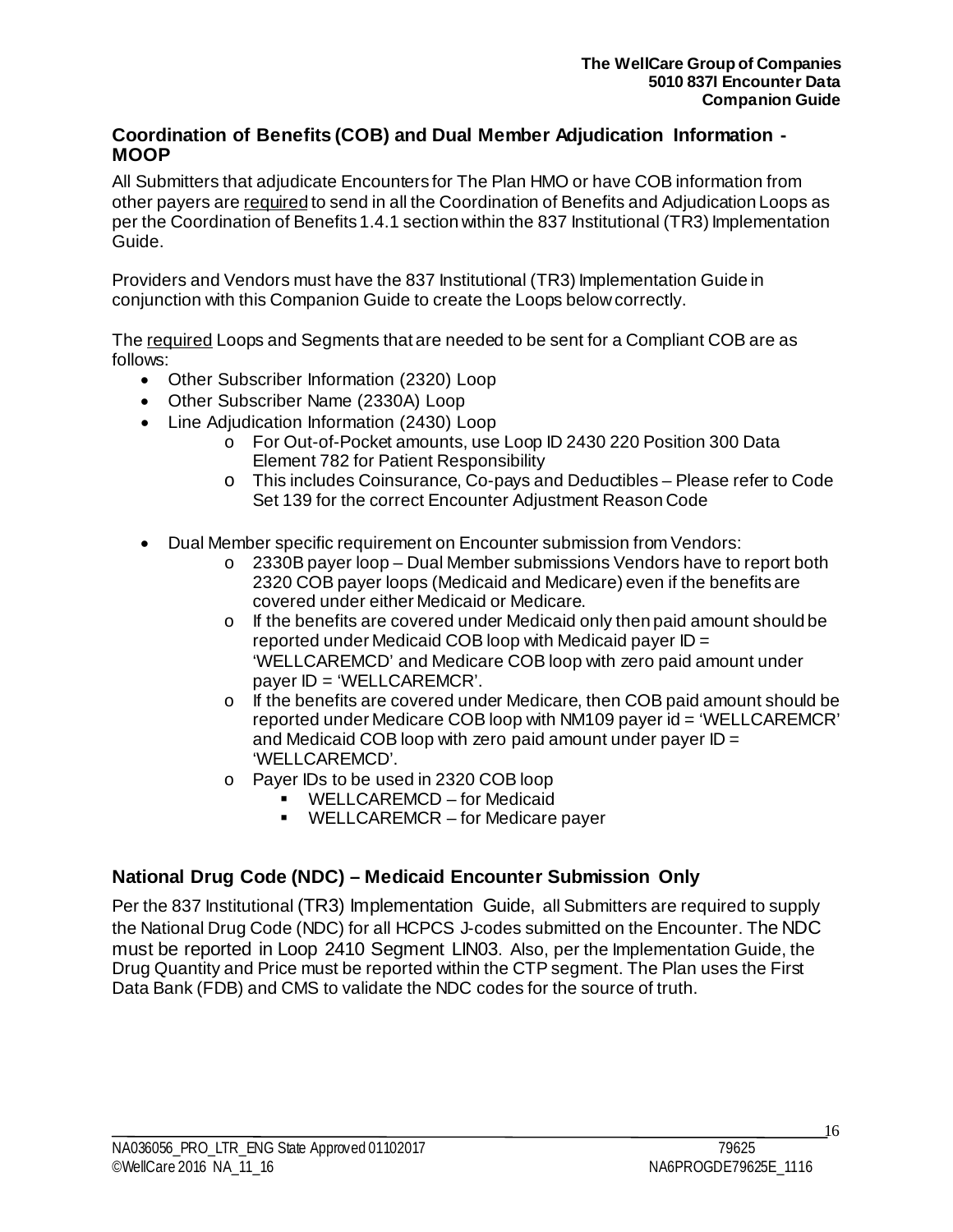#### <span id="page-15-0"></span>**Coordination of Benefits (COB) and Dual Member Adjudication Information - MOOP**

All Submitters that adjudicate Encounters for The Plan HMO or have COB information from other payers are required to send in all the Coordination of Benefits and Adjudication Loops as per the Coordination of Benefits 1.4.1 section within the 837 Institutional (TR3) Implementation Guide.

Providers and Vendors must have the 837 Institutional (TR3) Implementation Guide in conjunction with this Companion Guide to create the Loops below correctly.

The required Loops and Segments that are needed to be sent for a Compliant COB are as follows:

- Other Subscriber Information (2320) Loop
- Other Subscriber Name (2330A) Loop
- Line Adiudication Information (2430) Loop
	- o For Out-of-Pocket amounts, use Loop ID 2430 220 Position 300 Data Element 782 for Patient Responsibility
	- o This includes Coinsurance, Co-pays and Deductibles Please refer to Code Set 139 for the correct Encounter Adjustment Reason Code
- Dual Member specific requirement on Encounter submission from Vendors:
	- $\circ$  2330B payer loop Dual Member submissions Vendors have to report both 2320 COB payer loops (Medicaid and Medicare) even if the benefits are covered under either Medicaid or Medicare.
	- $\circ$  If the benefits are covered under Medicaid only then paid amount should be reported under Medicaid COB loop with Medicaid payer ID = 'WELLCAREMCD' and Medicare COB loop with zero paid amount under payer ID = 'WELLCAREMCR'.
	- o If the benefits are covered under Medicare, then COB paid amount should be reported under Medicare COB loop with NM109 payer id = 'WELLCAREMCR' and Medicaid COB loop with zero paid amount under payer  $ID =$ 'WELLCAREMCD'.
	- o Payer IDs to be used in 2320 COB loop
		- WELLCAREMCD for Medicaid
		- WELLCAREMCR for Medicare payer

### <span id="page-15-1"></span>**National Drug Code (NDC) – Medicaid Encounter Submission Only**

Per the 837 Institutional (TR3) Implementation Guide, all Submitters are required to supply the National Drug Code (NDC) for all HCPCS J-codes submitted on the Encounter. The NDC must be reported in Loop 2410 Segment LIN03. Also, per the Implementation Guide, the Drug Quantity and Price must be reported within the CTP segment. The Plan uses the First Data Bank (FDB) and CMS to validate the NDC codes for the source of truth.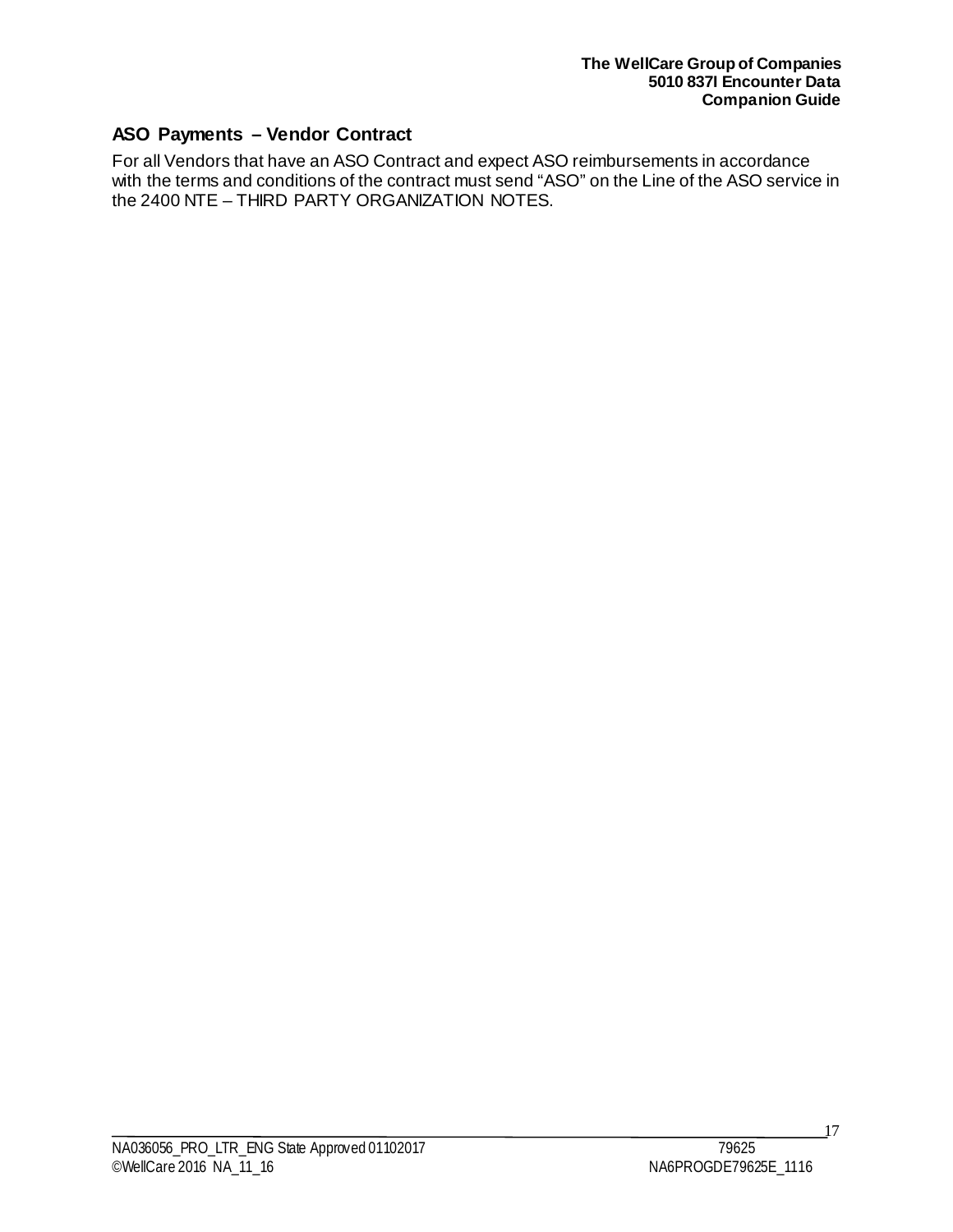### <span id="page-16-0"></span>**ASO Payments – Vendor Contract**

For all Vendors that have an ASO Contract and expect ASO reimbursements in accordance with the terms and conditions of the contract must send "ASO" on the Line of the ASO service in the 2400 NTE – THIRD PARTY ORGANIZATION NOTES.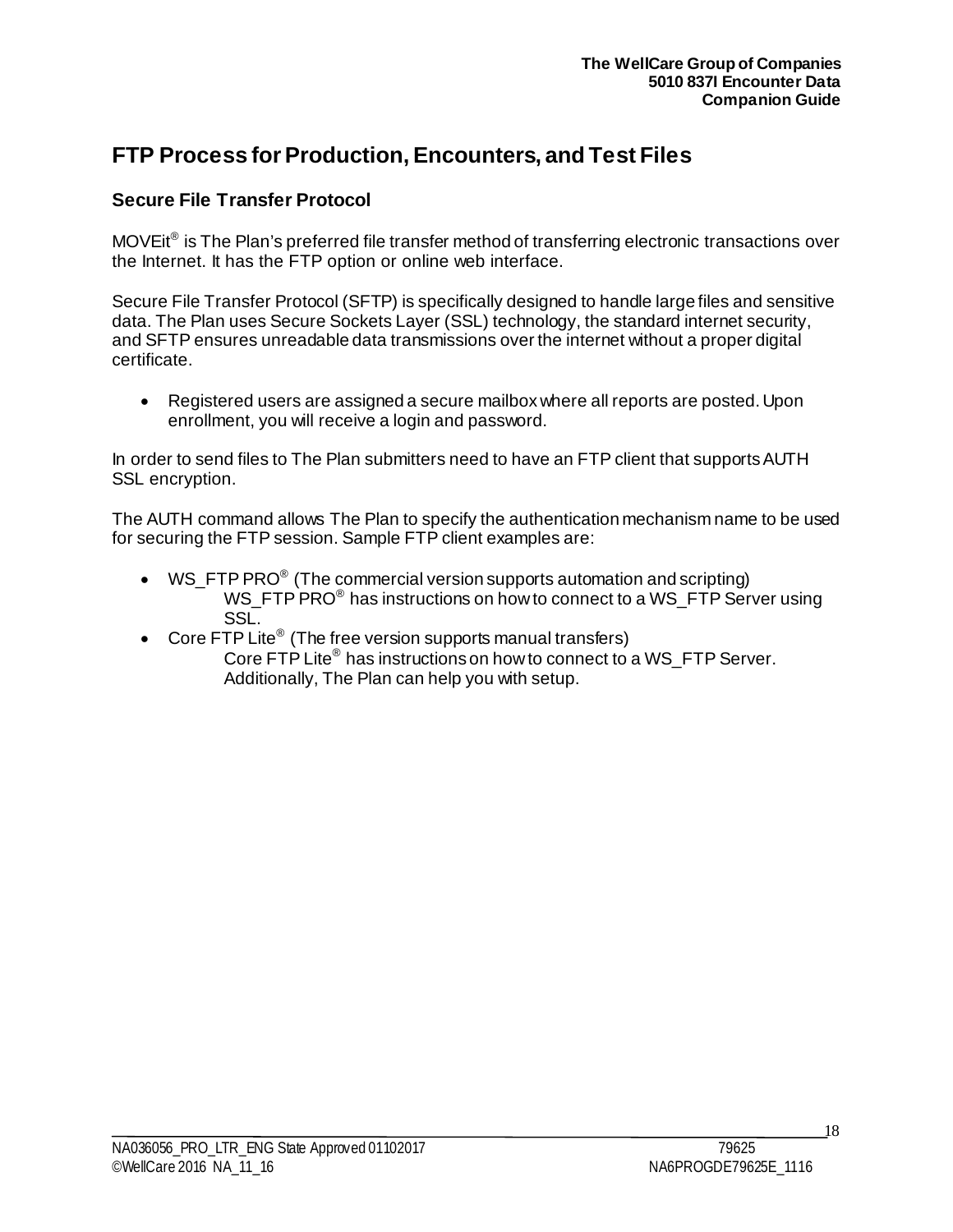# <span id="page-17-0"></span>**FTP Process for Production, Encounters, and Test Files**

### **Secure File Transfer Protocol**

MOVEit<sup>®</sup> is The Plan's preferred file transfer method of transferring electronic transactions over the Internet. It has the FTP option or online web interface.

Secure File Transfer Protocol (SFTP) is specifically designed to handle large files and sensitive data. The Plan uses Secure Sockets Layer (SSL) technology, the standard internet security, and SFTP ensures unreadable data transmissions over the internet without a proper digital certificate.

• Registered users are assigned a secure mailbox where all reports are posted. Upon enrollment, you will receive a login and password.

In order to send files to The Plan submitters need to have an FTP client that supports AUTH SSL encryption.

The AUTH command allows The Plan to specify the authentication mechanism name to be used for securing the FTP session. Sample FTP client examples are:

- WS\_FTP PRO<sup>®</sup> (The commercial version supports automation and scripting) WS FTP PRO<sup>®</sup> has instructions on how to connect to a WS FTP Server using SSL.
- Core FTP Lite<sup>®</sup> (The free version supports manual transfers)
	- Core FTP Lite® has instructions on how to connect to a WS\_FTP Server. Additionally, The Plan can help you with setup.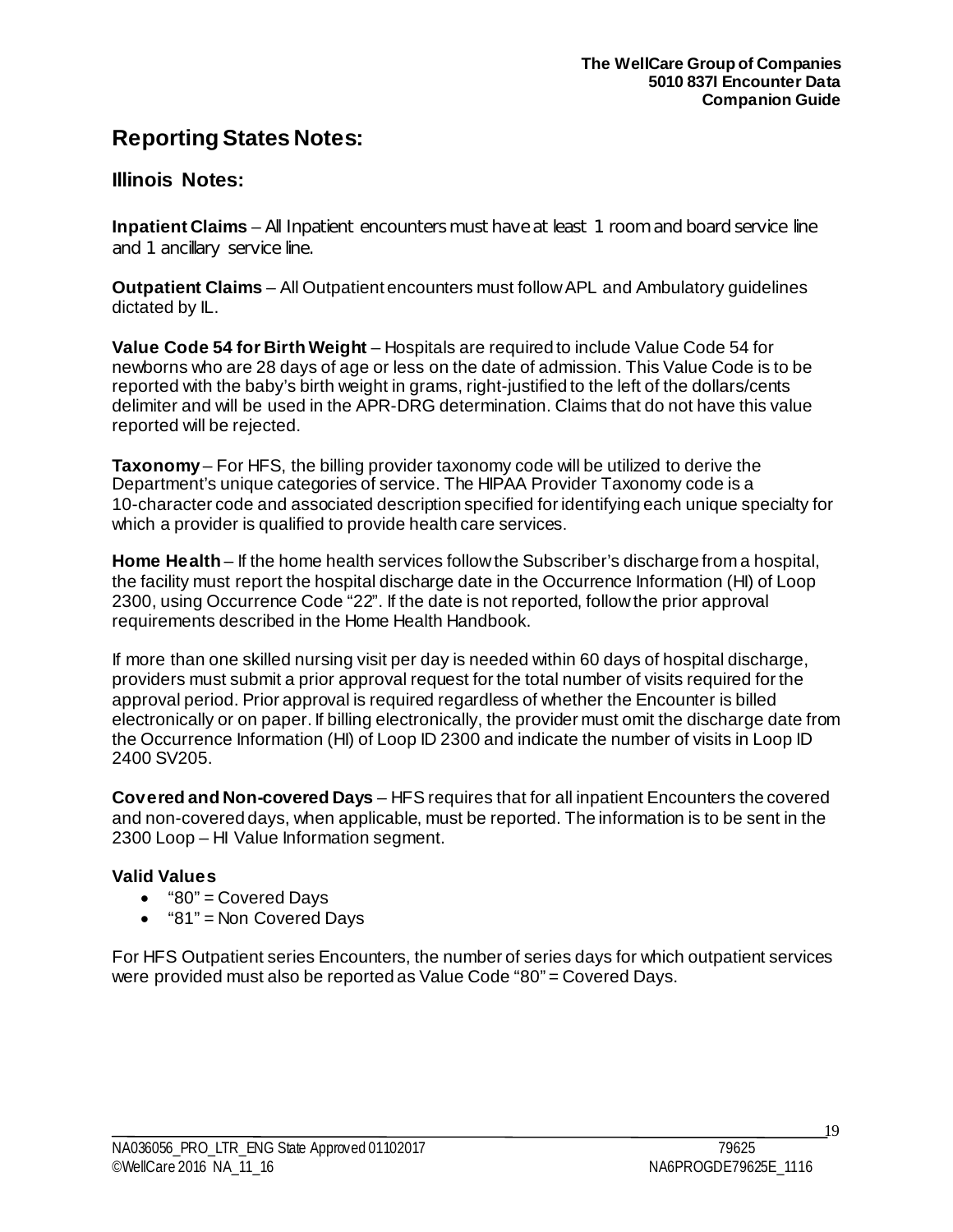# <span id="page-18-0"></span>**Reporting States Notes:**

#### <span id="page-18-1"></span>**Illinois Notes:**

**Inpatient Claims** – All Inpatient encounters must have at least 1 room and board service line and 1 ancillary service line.

**Outpatient Claims** – All Outpatient encounters must follow APL and Ambulatory guidelines dictated by IL.

**Value Code 54 for Birth Weight** – Hospitals are required to include Value Code 54 for newborns who are 28 days of age or less on the date of admission. This Value Code is to be reported with the baby's birth weight in grams, right-justified to the left of the dollars/cents delimiter and will be used in the APR-DRG determination. Claims that do not have this value reported will be rejected.

**Taxonomy** – For HFS, the billing provider taxonomy code will be utilized to derive the Department's unique categories of service. The HIPAA Provider Taxonomy code is a 10-character code and associated description specified for identifying each unique specialty for which a provider is qualified to provide health care services.

**Home Health** – If the home health services follow the Subscriber's discharge from a hospital, the facility must report the hospital discharge date in the Occurrence Information (HI) of Loop 2300, using Occurrence Code "22". If the date is not reported, follow the prior approval requirements described in the Home Health Handbook.

If more than one skilled nursing visit per day is needed within 60 days of hospital discharge, providers must submit a prior approval request for the total number of visits required for the approval period. Prior approval is required regardless of whether the Encounter is billed electronically or on paper. If billing electronically, the provider must omit the discharge date from the Occurrence Information (HI) of Loop ID 2300 and indicate the number of visits in Loop ID 2400 SV205.

**Covered and Non-covered Days** – HFS requires that for all inpatient Encounters the covered and non-covered days, when applicable, must be reported. The information is to be sent in the 2300 Loop – HI Value Information segment.

#### **Valid Values**

- "80" = Covered Days
- "81" = Non Covered Days

For HFS Outpatient series Encounters, the number of series days for which outpatient services were provided must also be reported as Value Code "80" = Covered Days.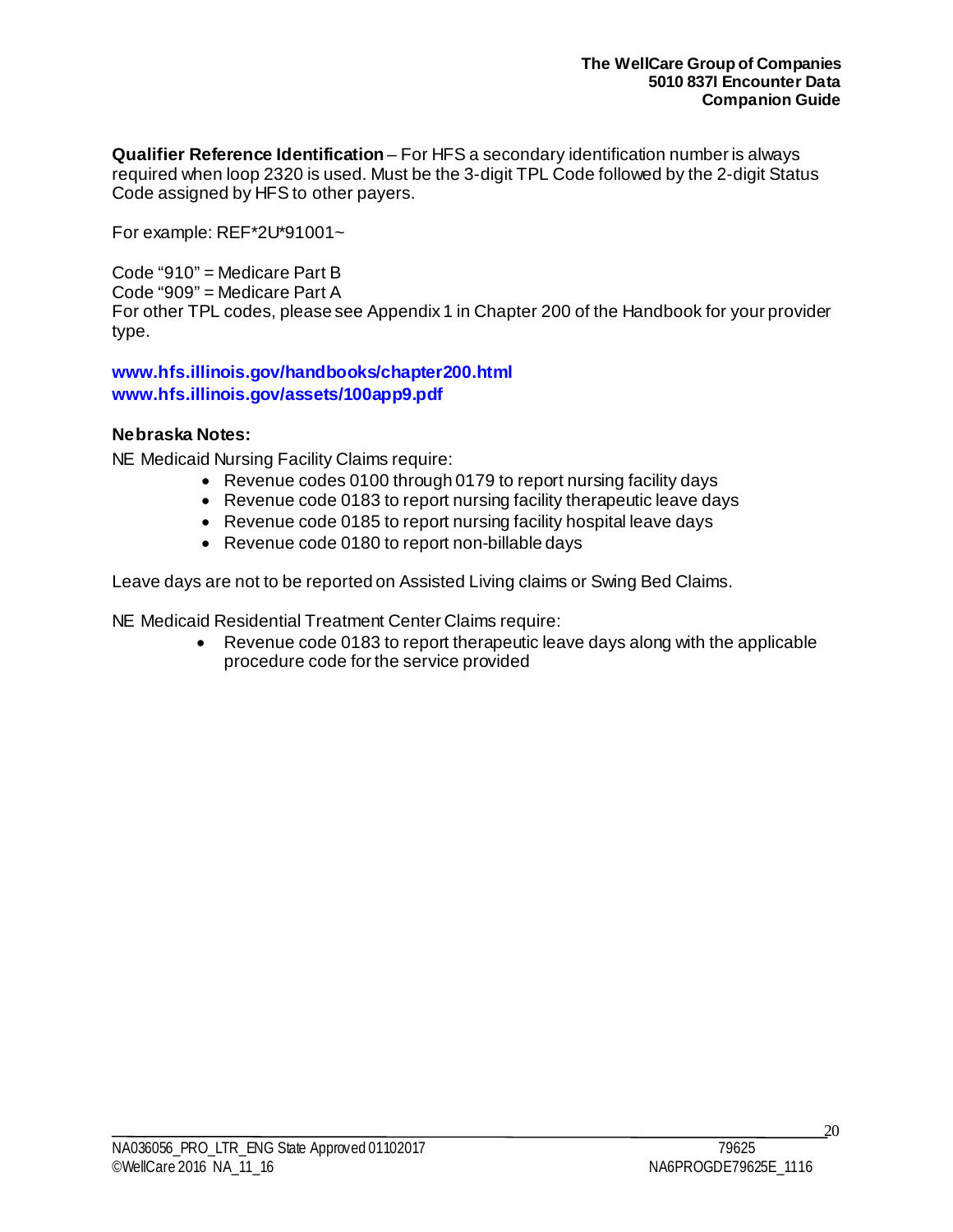**Qualifier Reference Identification** – For HFS a secondary identification number is always required when loop 2320 is used. Must be the 3-digit TPL Code followed by the 2-digit Status Code assigned by HFS to other payers.

For example: REF\*2U\*91001~

Code "910" = Medicare Part B

Code "909" = Medicare Part A

For other TPL codes, please see Appendix 1 in Chapter 200 of the Handbook for your provider type.

**[www.hfs.illinois.gov/handbooks/chapter200.html](http://www.hfs.illinois.gov/handbooks/chapter200.html) [www.hfs.illinois.gov/assets/100app9.pdf](http://www.hfs.illinois.gov/assets/100app9.pdf)**

#### <span id="page-19-0"></span>**Nebraska Notes:**

NE Medicaid Nursing Facility Claims require:

- Revenue codes 0100 through 0179 to report nursing facility days
- Revenue code 0183 to report nursing facility therapeutic leave days
- Revenue code 0185 to report nursing facility hospital leave days
- Revenue code 0180 to report non-billable days

Leave days are not to be reported on Assisted Living claims or Swing Bed Claims.

NE Medicaid Residential Treatment Center Claims require:

• Revenue code 0183 to report therapeutic leave days along with the applicable procedure code for the service provided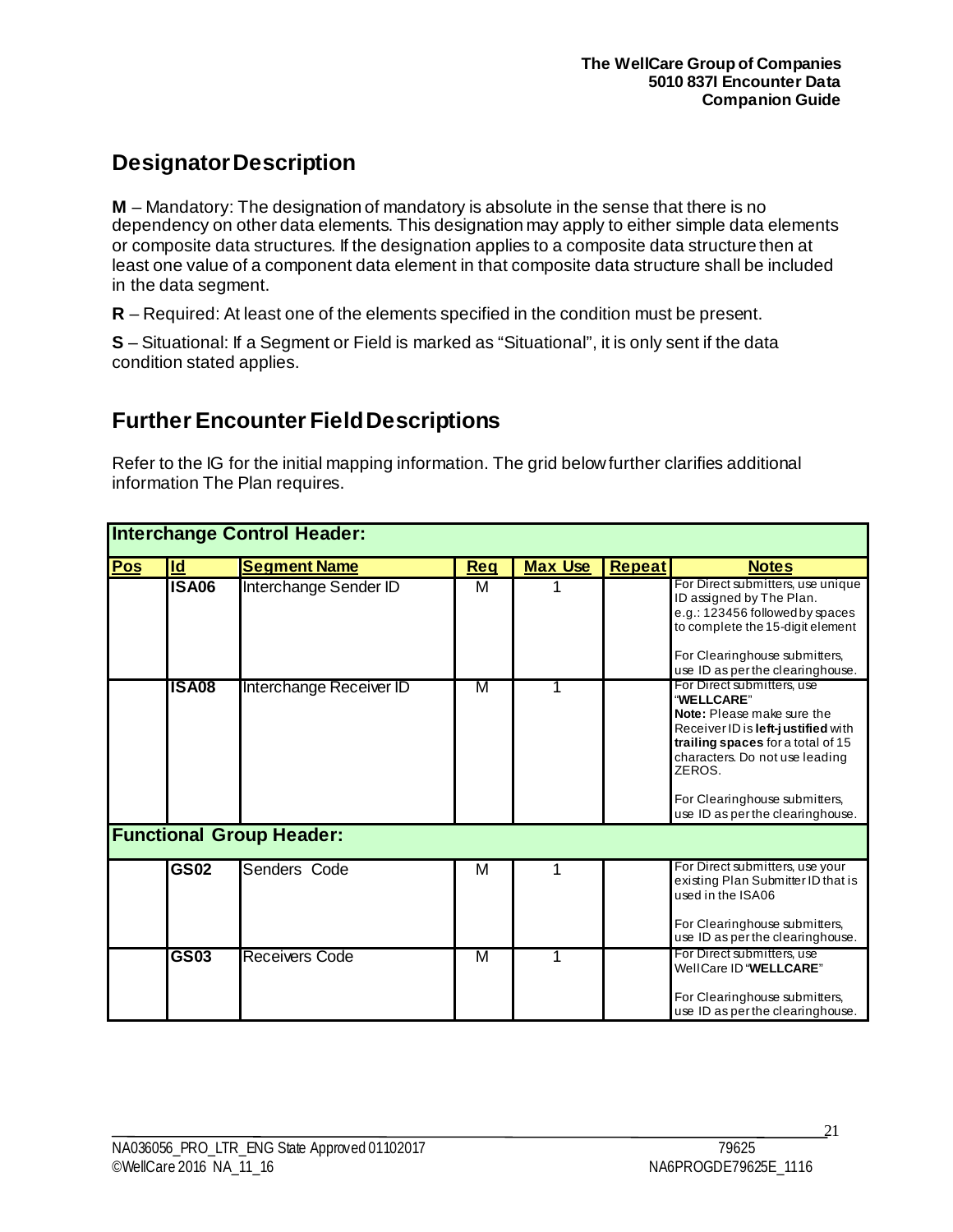# <span id="page-20-0"></span>**Designator Description**

**M** – Mandatory: The designation of mandatory is absolute in the sense that there is no dependency on other data elements. This designation may apply to either simple data elements or composite data structures. If the designation applies to a composite data structure then at least one value of a component data element in that composite data structure shall be included in the data segment.

**R** – Required: At least one of the elements specified in the condition must be present.

**S** – Situational: If a Segment or Field is marked as "Situational", it is only sent if the data condition stated applies.

# <span id="page-20-1"></span>**Further Encounter FieldDescriptions**

Refer to the IG for the initial mapping information. The grid below further clarifies additional information The Plan requires.

| <b>Interchange Control Header:</b> |              |                                 |            |                |               |                                                                                                                                                                                                                                                                    |  |
|------------------------------------|--------------|---------------------------------|------------|----------------|---------------|--------------------------------------------------------------------------------------------------------------------------------------------------------------------------------------------------------------------------------------------------------------------|--|
| <b>Pos</b>                         | Id           | <b>Segment Name</b>             | <b>Req</b> | <b>Max Use</b> | <b>Repeat</b> | <b>Notes</b>                                                                                                                                                                                                                                                       |  |
|                                    | <b>ISA06</b> | Interchange Sender ID           | м          |                |               | For Direct submitters, use unique<br>ID assigned by The Plan.<br>e.g.: 123456 followed by spaces<br>to complete the 15-digit element<br>For Clearinghouse submitters,<br>use ID as per the clearinghouse.                                                          |  |
|                                    | <b>ISA08</b> | Interchange Receiver ID         | M          | 1              |               | For Direct submitters, use<br>"WELLCARE"<br>Note: Please make sure the<br>Receiver ID is left-justified with<br>trailing spaces for a total of 15<br>characters. Do not use leading<br>ZEROS.<br>For Clearinghouse submitters,<br>use ID as per the clearinghouse. |  |
|                                    |              | <b>Functional Group Header:</b> |            |                |               |                                                                                                                                                                                                                                                                    |  |
|                                    | GS02         | Senders Code                    | М          | 1              |               | For Direct submitters, use your<br>existing Plan Submitter ID that is<br>used in the ISA06<br>For Clearinghouse submitters,<br>use ID as per the clearinghouse.                                                                                                    |  |
|                                    | GS03         | <b>Receivers Code</b>           | м          | 1              |               | For Direct submitters, use<br>WellCare ID "WELLCARE"<br>For Clearinghouse submitters,<br>use ID as per the clearinghouse.                                                                                                                                          |  |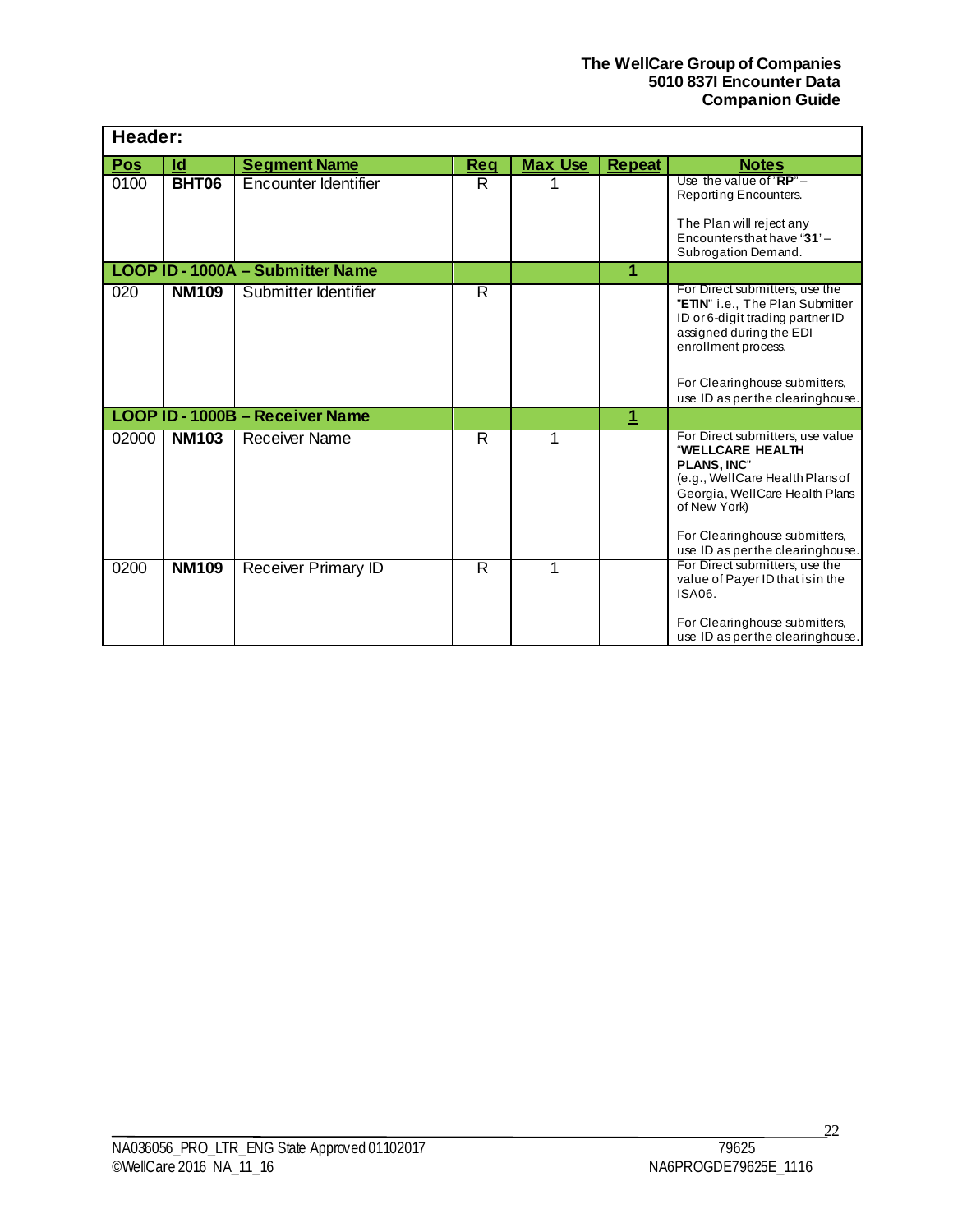| Header: |              |                                  |                         |                |               |                                                                                                                                                                                                                                      |
|---------|--------------|----------------------------------|-------------------------|----------------|---------------|--------------------------------------------------------------------------------------------------------------------------------------------------------------------------------------------------------------------------------------|
| Pos     | <b>Id</b>    | <b>Segment Name</b>              | <b>Req</b>              | <b>Max Use</b> | <b>Repeat</b> | <b>Notes</b>                                                                                                                                                                                                                         |
| 0100    | <b>BHT06</b> | Encounter Identifier             | R                       |                |               | Use the value of " $RP$ " –<br>Reporting Encounters.<br>The Plan will reject any                                                                                                                                                     |
|         |              |                                  |                         |                |               | Encountersthat have "31'-<br>Subrogation Demand.                                                                                                                                                                                     |
|         |              | LOOP ID - 1000A - Submitter Name |                         |                | $\mathbf 1$   |                                                                                                                                                                                                                                      |
| 020     | <b>NM109</b> | Submitter Identifier             | R                       |                |               | For Direct submitters, use the<br>"ETIN" i.e., The Plan Submitter<br>ID or 6-digit trading partner ID<br>assigned during the EDI<br>enrollment process.<br>For Clearinghouse submitters,                                             |
|         |              | LOOP ID - 1000B - Receiver Name  |                         |                |               | use ID as per the clearinghouse.                                                                                                                                                                                                     |
|         |              |                                  |                         |                | 1             |                                                                                                                                                                                                                                      |
| 02000   | <b>NM103</b> | <b>Receiver Name</b>             | $\overline{\mathsf{R}}$ | 1              |               | For Direct submitters, use value<br>"WELLCARE HEALTH<br><b>PLANS, INC"</b><br>(e.g., WellCare Health Plans of<br>Georgia, WellCare Health Plans<br>of New York)<br>For Clearinghouse submitters,<br>use ID as per the clearinghouse. |
| 0200    | <b>NM109</b> | <b>Receiver Primary ID</b>       | R                       | 1              |               | For Direct submitters, use the<br>value of Payer ID that is in the<br><b>ISA06.</b><br>For Clearinghouse submitters,<br>use ID as per the clearinghouse.                                                                             |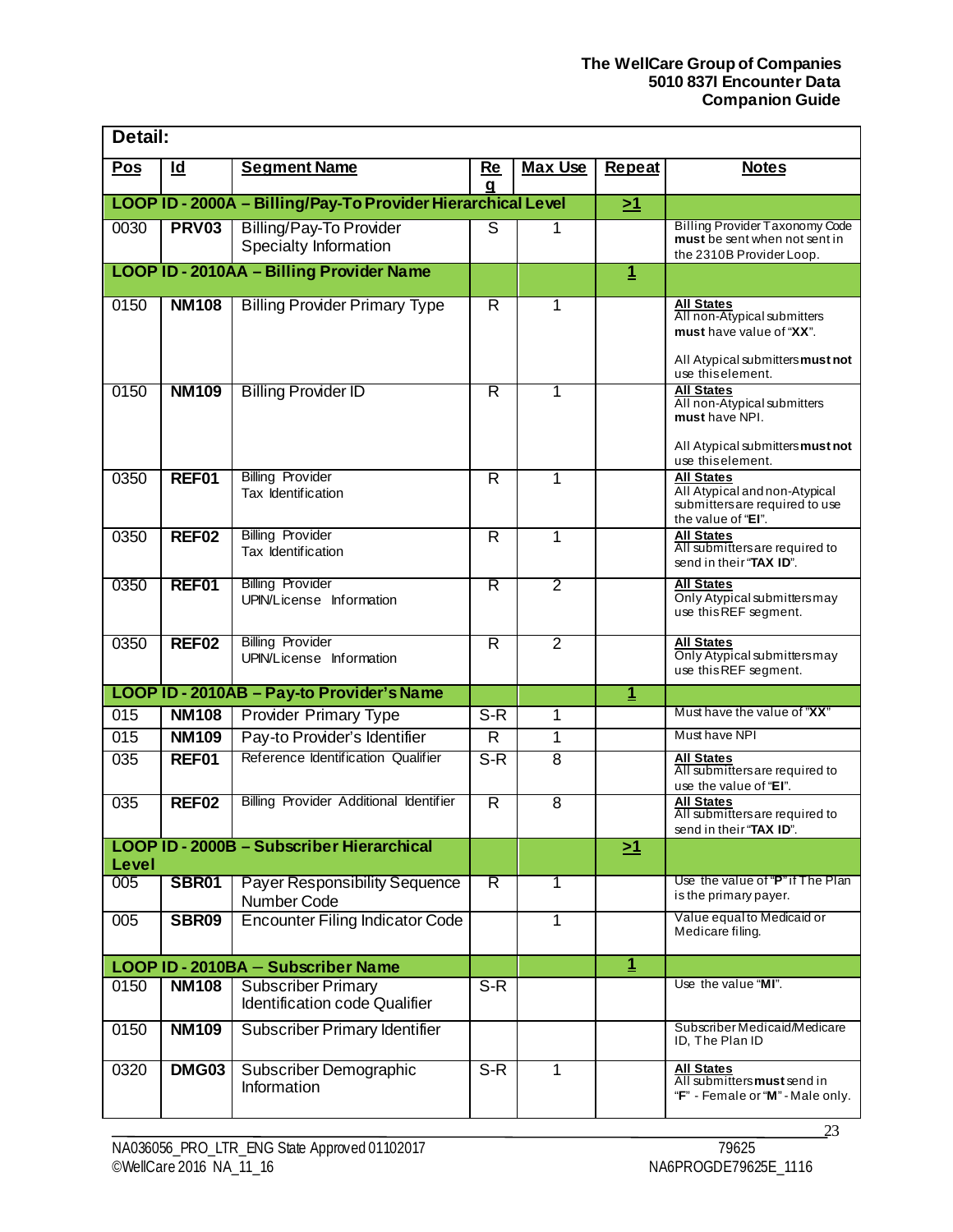| Detail:          |                   |                                                              |                         |                |                         |                                                                                                                                       |
|------------------|-------------------|--------------------------------------------------------------|-------------------------|----------------|-------------------------|---------------------------------------------------------------------------------------------------------------------------------------|
| <b>Pos</b>       | $\overline{a}$    | <b>Segment Name</b>                                          | Re<br>q                 | <b>Max Use</b> | <b>Repeat</b>           | <b>Notes</b>                                                                                                                          |
|                  |                   | LOOP ID - 2000A - Billing/Pay-To Provider Hierarchical Level |                         |                | $\geq 1$                |                                                                                                                                       |
| 0030             | <b>PRV03</b>      | <b>Billing/Pay-To Provider</b><br>Specialty Information      | S                       |                |                         | <b>Billing Provider Taxonomy Code</b><br>must be sent when not sent in<br>the 2310B Provider Loop.                                    |
|                  |                   | LOOP ID - 2010AA - Billing Provider Name                     |                         |                | $\mathbf{1}$            |                                                                                                                                       |
| 0150             | <b>NM108</b>      | <b>Billing Provider Primary Type</b>                         | $\overline{R}$          | 1              |                         | <b>All States</b><br>All non-Atypical submitters<br>must have value of "XX".<br>All Atypical submitters must not<br>use this element. |
| 0150             | <b>NM109</b>      | <b>Billing Provider ID</b>                                   | $\overline{\mathsf{R}}$ | 1              |                         | <b>All States</b><br>All non-Atypical submitters<br>must have NPI.<br>All Atypical submitters must not<br>use this element.           |
| 0350             | REF01             | <b>Billing Provider</b><br>Tax Identification                | $\overline{R}$          | 1              |                         | <b>All States</b><br>All Atypical and non-Atypical<br>submitters are required to use<br>the value of "EI".                            |
| 0350             | REF02             | <b>Billing Provider</b><br>Tax Identification                | R                       | 1              |                         | <b>All States</b><br>All submitters are required to<br>send in their "TAX ID".                                                        |
| 0350             | REF01             | <b>Billing Provider</b><br>UPIN/License Information          | $\overline{\mathsf{R}}$ | $\overline{2}$ |                         | <b>All States</b><br>Only Atypical submitters may<br>use this REF segment.                                                            |
| 0350             | REF <sub>02</sub> | <b>Billing Provider</b><br>UPIN/License Information          | $\overline{R}$          | $\overline{2}$ |                         | <b>All States</b><br>Only Atypical submitters may<br>use this REF segment.                                                            |
|                  |                   | LOOP ID - 2010AB - Pay-to Provider's Name                    |                         |                | $\overline{\mathbf{1}}$ |                                                                                                                                       |
| 015              | <b>NM108</b>      | Provider Primary Type                                        | S-R                     | 1              |                         | Must have the value of "XX"                                                                                                           |
| 015              | <b>NM109</b>      | Pay-to Provider's Identifier                                 | $\overline{\mathsf{R}}$ | 1              |                         | Must have NPI                                                                                                                         |
| $\overline{035}$ | REF01             | Reference Identification Qualifier                           | $S-R$                   | $\overline{8}$ |                         | <b>All States</b><br>All submitters are required to<br>use the value of "EI".                                                         |
| 035              | <b>REF02</b>      | Billing Provider Additional Identifier                       | $\overline{R}$          | $\overline{8}$ |                         | <b>All States</b><br>All submitters are required to<br>send in their "TAX ID".                                                        |
| Level            |                   | LOOP ID - 2000B - Subscriber Hierarchical                    |                         |                | <u>&gt;1</u>            |                                                                                                                                       |
| 005              | <b>SBR01</b>      | <b>Payer Responsibility Sequence</b><br>Number Code          | $\overline{\mathsf{R}}$ | 1              |                         | Use the value of "P" if The Plan<br>is the primary payer.                                                                             |
| 005              | <b>SBR09</b>      | <b>Encounter Filing Indicator Code</b>                       |                         | 1              |                         | Value equal to Medicaid or<br>Medicare filing.                                                                                        |
|                  |                   | LOOP ID - 2010BA - Subscriber Name                           |                         |                | $\mathbf{1}$            |                                                                                                                                       |
| 0150             | <b>NM108</b>      | <b>Subscriber Primary</b><br>Identification code Qualifier   | $S-R$                   |                |                         | Use the value "MI".                                                                                                                   |
| 0150             | <b>NM109</b>      | Subscriber Primary Identifier                                |                         |                |                         | Subscriber Medicaid/Medicare<br>ID, The Plan ID                                                                                       |
| 0320             | DMG03             | Subscriber Demographic<br>Information                        | $S-R$                   | 1              |                         | <b>All States</b><br>All submitters must send in<br>"F" - Female or "M" - Male only.                                                  |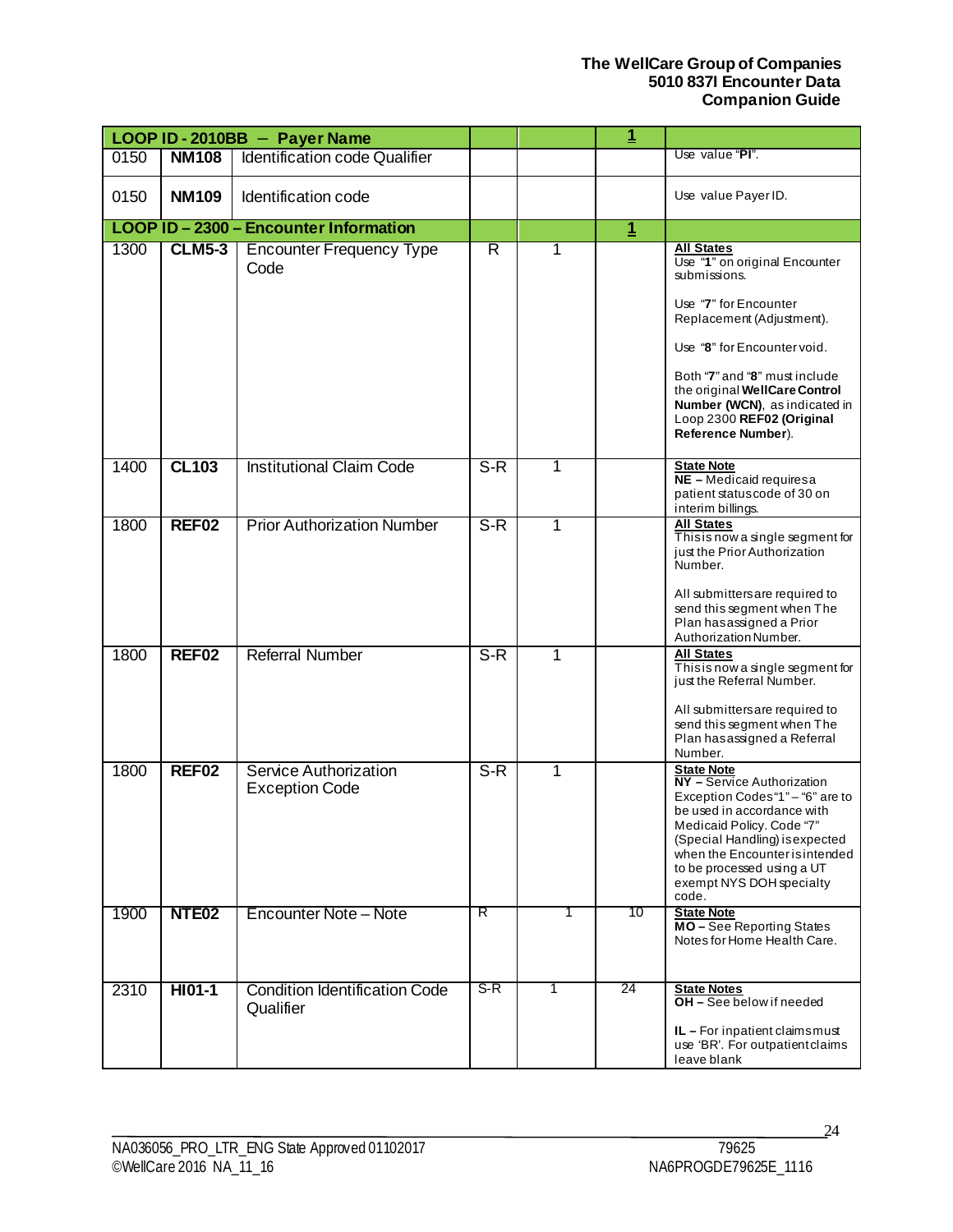|      | LOOP ID - 2010BB - Payer Name |                                                   |                         |   | 1            |                                                                                                                                                                                                                                                                                                               |
|------|-------------------------------|---------------------------------------------------|-------------------------|---|--------------|---------------------------------------------------------------------------------------------------------------------------------------------------------------------------------------------------------------------------------------------------------------------------------------------------------------|
| 0150 | <b>NM108</b>                  | <b>Identification code Qualifier</b>              |                         |   |              | Use value "PI".                                                                                                                                                                                                                                                                                               |
| 0150 | <b>NM109</b>                  | Identification code                               |                         |   |              | Use value Payer ID.                                                                                                                                                                                                                                                                                           |
|      |                               | LOOP ID - 2300 - Encounter Information            |                         |   | $\mathbf{1}$ |                                                                                                                                                                                                                                                                                                               |
| 1300 | <b>CLM5-3</b>                 | <b>Encounter Frequency Type</b><br>Code           | $\overline{\mathsf{R}}$ | 1 |              | <b>All States</b><br>Use "1" on original Encounter<br>submissions.<br>Use "7" for Encounter<br>Replacement (Adjustment).<br>Use "8" for Encounter void.<br>Both "7" and "8" must include<br>the original WellCare Control<br>Number (WCN), as indicated in<br>Loop 2300 REF02 (Original<br>Reference Number). |
| 1400 | <b>CL103</b>                  | <b>Institutional Claim Code</b>                   | $S-R$                   | 1 |              | <b>State Note</b><br>NE - Medicaid requires a<br>patient status code of 30 on<br>interim billings.                                                                                                                                                                                                            |
| 1800 | REF <sub>02</sub>             | <b>Prior Authorization Number</b>                 | $S-R$                   | 1 |              | All States<br>Thisis now a single segment for<br>just the Prior Authorization<br>Number.<br>All submitters are required to<br>send this segment when The<br>Plan hasassigned a Prior<br>Authorization Number.                                                                                                 |
| 1800 | REF <sub>02</sub>             | <b>Referral Number</b>                            | $S-R$                   | 1 |              | <b>All States</b><br>Thisis now a single segment for<br>just the Referral Number.<br>All submitters are required to<br>send this segment when The<br>Plan has assigned a Referral<br>Number.                                                                                                                  |
| 1800 | REF02                         | Service Authorization<br><b>Exception Code</b>    | $S-R$                   | 1 |              | <b>State Note</b><br>NY - Service Authorization<br>Exception Codes "1" - "6" are to<br>be used in accordance with<br>Medicaid Policy. Code "7"<br>(Special Handling) is expected<br>when the Encounter is intended<br>to be processed using a UT<br>exempt NYS DOH specialty<br>code.                         |
| 1900 | NTE <sub>02</sub>             | Encounter Note - Note                             | R                       | 1 | 10           | <b>State Note</b><br>MO-See Reporting States<br>Notes for Home Health Care.                                                                                                                                                                                                                                   |
| 2310 | HI01-1                        | <b>Condition Identification Code</b><br>Qualifier | S-R                     | 1 | 24           | <b>State Notes</b><br>$OH - See$ below if needed<br>IL - For inpatient claims must<br>use 'BR'. For outpatient claims<br>leave blank                                                                                                                                                                          |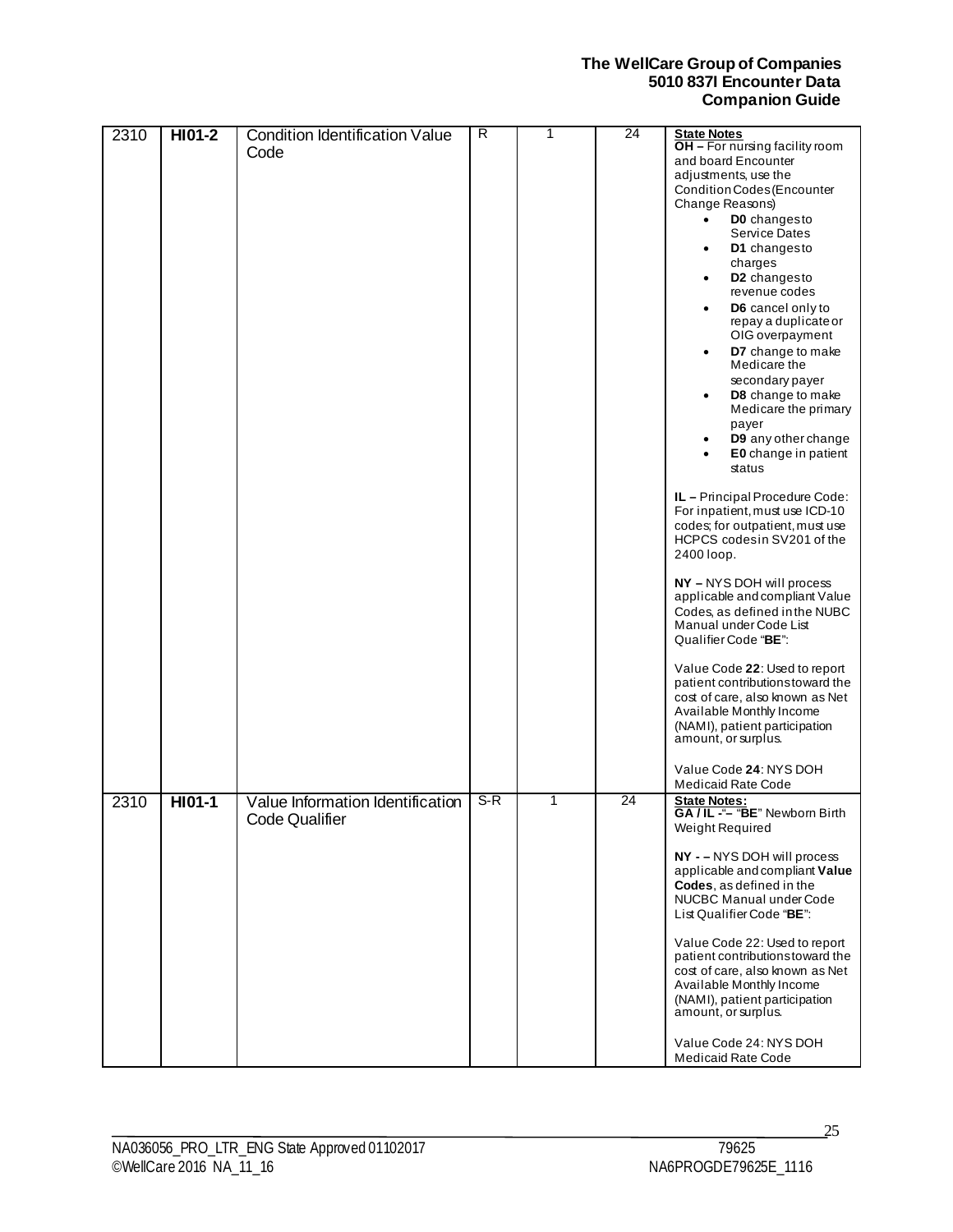|      |        |                                               |       |   | $\overline{24}$ |                                                                                                                                                                                                                                                                                                                                                                                                                                                                                                                                                                                                                                                                                                                                                                                                                                                                                                                                                                                                                                                                        |
|------|--------|-----------------------------------------------|-------|---|-----------------|------------------------------------------------------------------------------------------------------------------------------------------------------------------------------------------------------------------------------------------------------------------------------------------------------------------------------------------------------------------------------------------------------------------------------------------------------------------------------------------------------------------------------------------------------------------------------------------------------------------------------------------------------------------------------------------------------------------------------------------------------------------------------------------------------------------------------------------------------------------------------------------------------------------------------------------------------------------------------------------------------------------------------------------------------------------------|
| 2310 | HI01-2 | <b>Condition Identification Value</b><br>Code | R     | 1 |                 | State Notes<br>OH - For nursing facility room<br>and board Encounter<br>adjustments, use the<br>Condition Codes (Encounter<br>Change Reasons)<br>DO changesto<br>$\bullet$<br><b>Service Dates</b><br>D1 changesto<br>charges<br>D <sub>2</sub> changesto<br>$\bullet$<br>revenue codes<br>D6 cancel only to<br>repay a duplicate or<br>OIG overpayment<br>D7 change to make<br>$\bullet$<br>Medicare the<br>secondary payer<br>D8 change to make<br>Medicare the primary<br>payer<br>D9 any other change<br>E0 change in patient<br>status<br>IL - Principal Procedure Code:<br>For inpatient, must use ICD-10<br>codes; for outpatient, must use<br>HCPCS codesin SV201 of the<br>2400 loop.<br>NY - NYS DOH will process<br>applicable and compliant Value<br>Codes, as defined in the NUBC<br>Manual under Code List<br>Qualifier Code "BE":<br>Value Code 22: Used to report<br>patient contributions toward the<br>cost of care, also known as Net<br>Available Monthly Income<br>(NAMI), patient participation<br>amount, or surplus.<br>Value Code 24: NYS DOH |
| 2310 | HI01-1 | Value Information Identification              | $S-R$ | 1 | $\overline{24}$ | <b>Medicaid Rate Code</b><br><b>State Notes:</b>                                                                                                                                                                                                                                                                                                                                                                                                                                                                                                                                                                                                                                                                                                                                                                                                                                                                                                                                                                                                                       |
|      |        | <b>Code Qualifier</b>                         |       |   |                 | GA/IL-"-"BE" Newborn Birth<br>Weight Required                                                                                                                                                                                                                                                                                                                                                                                                                                                                                                                                                                                                                                                                                                                                                                                                                                                                                                                                                                                                                          |
|      |        |                                               |       |   |                 | NY - - NYS DOH will process<br>applicable and compliant Value<br>Codes, as defined in the<br>NUCBC Manual under Code<br>List Qualifier Code "BE":                                                                                                                                                                                                                                                                                                                                                                                                                                                                                                                                                                                                                                                                                                                                                                                                                                                                                                                      |
|      |        |                                               |       |   |                 | Value Code 22: Used to report<br>patient contributionstoward the<br>cost of care, also known as Net<br>Available Monthly Income<br>(NAMI), patient participation<br>amount, or surplus.                                                                                                                                                                                                                                                                                                                                                                                                                                                                                                                                                                                                                                                                                                                                                                                                                                                                                |
|      |        |                                               |       |   |                 | Value Code 24: NYS DOH<br>Medicaid Rate Code                                                                                                                                                                                                                                                                                                                                                                                                                                                                                                                                                                                                                                                                                                                                                                                                                                                                                                                                                                                                                           |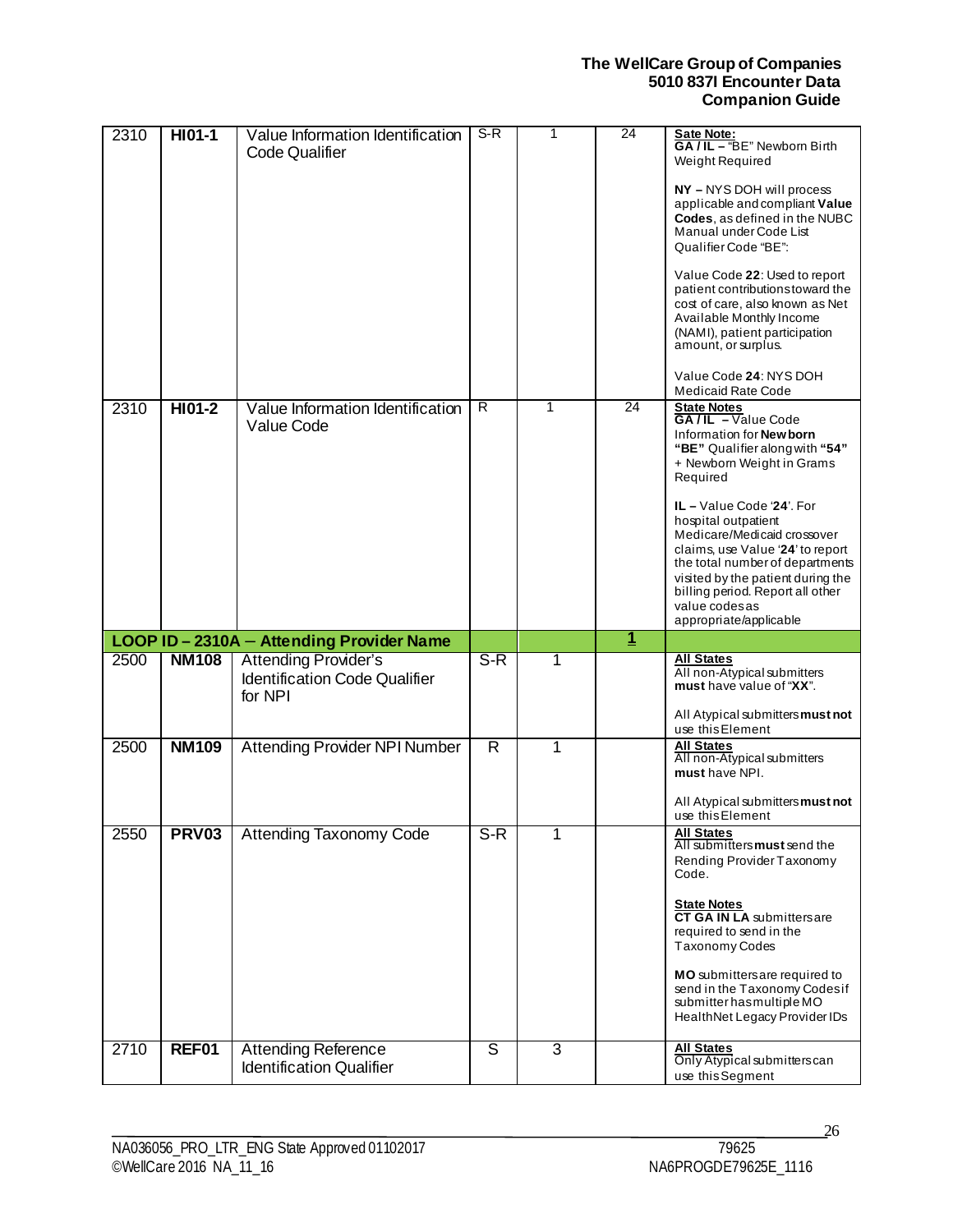| 2310 | HI01-1       | Value Information Identification<br><b>Code Qualifier</b>     | S-R            | 1 | $\overline{24}$ | Sate Note:<br>GA7IL - "BE" Newborn Birth<br>Weight Required<br>NY - NYS DOH will process<br>applicable and compliant Value<br>Codes, as defined in the NUBC<br>Manual under Code List<br>Qualifier Code "BE":<br>Value Code 22: Used to report<br>patient contributionstoward the<br>cost of care, also known as Net<br>Available Monthly Income<br>(NAMI), patient participation<br>amount, or surplus.<br>Value Code 24: NYS DOH<br><b>Medicaid Rate Code</b> |
|------|--------------|---------------------------------------------------------------|----------------|---|-----------------|-----------------------------------------------------------------------------------------------------------------------------------------------------------------------------------------------------------------------------------------------------------------------------------------------------------------------------------------------------------------------------------------------------------------------------------------------------------------|
| 2310 | $HI01-2$     | Value Information Identification<br>Value Code                | $\overline{R}$ | 1 | 24              | <b>State Notes</b><br>$GA/IL - Value Code$<br>Information for <b>New born</b><br>"BE" Qualifier along with "54"<br>+ Newborn Weight in Grams<br>Required<br>IL-Value Code '24'. For<br>hospital outpatient<br>Medicare/Medicaid crossover<br>claims, use Value '24' to report<br>the total number of departments<br>visited by the patient during the<br>billing period. Report all other<br>value codesas<br>appropriate/applicable                            |
|      |              | LOOP ID - 2310A - Attending Provider Name                     |                |   | 1               |                                                                                                                                                                                                                                                                                                                                                                                                                                                                 |
| 2500 | <b>NM108</b> | <b>Attending Provider's</b>                                   | $S-R$          | 1 |                 | <b>All States</b>                                                                                                                                                                                                                                                                                                                                                                                                                                               |
|      |              | <b>Identification Code Qualifier</b><br>for NPI               |                |   |                 | All non-Atypical submitters<br>must have value of "XX".<br>All Atypical submitters must not<br>use this Element                                                                                                                                                                                                                                                                                                                                                 |
| 2500 | <b>NM109</b> | <b>Attending Provider NPI Number</b>                          | $\overline{R}$ | 1 |                 | <b>All States</b><br>All non-Atypical submitters<br>must have NPI.<br>All Atypical submitters must not<br>use this Element                                                                                                                                                                                                                                                                                                                                      |
| 2550 | <b>PRV03</b> | <b>Attending Taxonomy Code</b>                                | S-R            | 1 |                 | <b>All States</b><br>All submitters must send the<br>Rending Provider Taxonomy<br>Code.<br><b>State Notes</b><br><b>CT GA IN LA</b> submitters are<br>required to send in the<br>Taxonomy Codes<br>MO submitters are required to<br>send in the Taxonomy Codesif<br>submitter has multiple MO<br>Health Net Legacy Provider IDs                                                                                                                                 |
| 2710 | REF01        | <b>Attending Reference</b><br><b>Identification Qualifier</b> | $\overline{S}$ | 3 |                 | <b>All States</b><br>Only Atypical submitters can<br>use this Segment                                                                                                                                                                                                                                                                                                                                                                                           |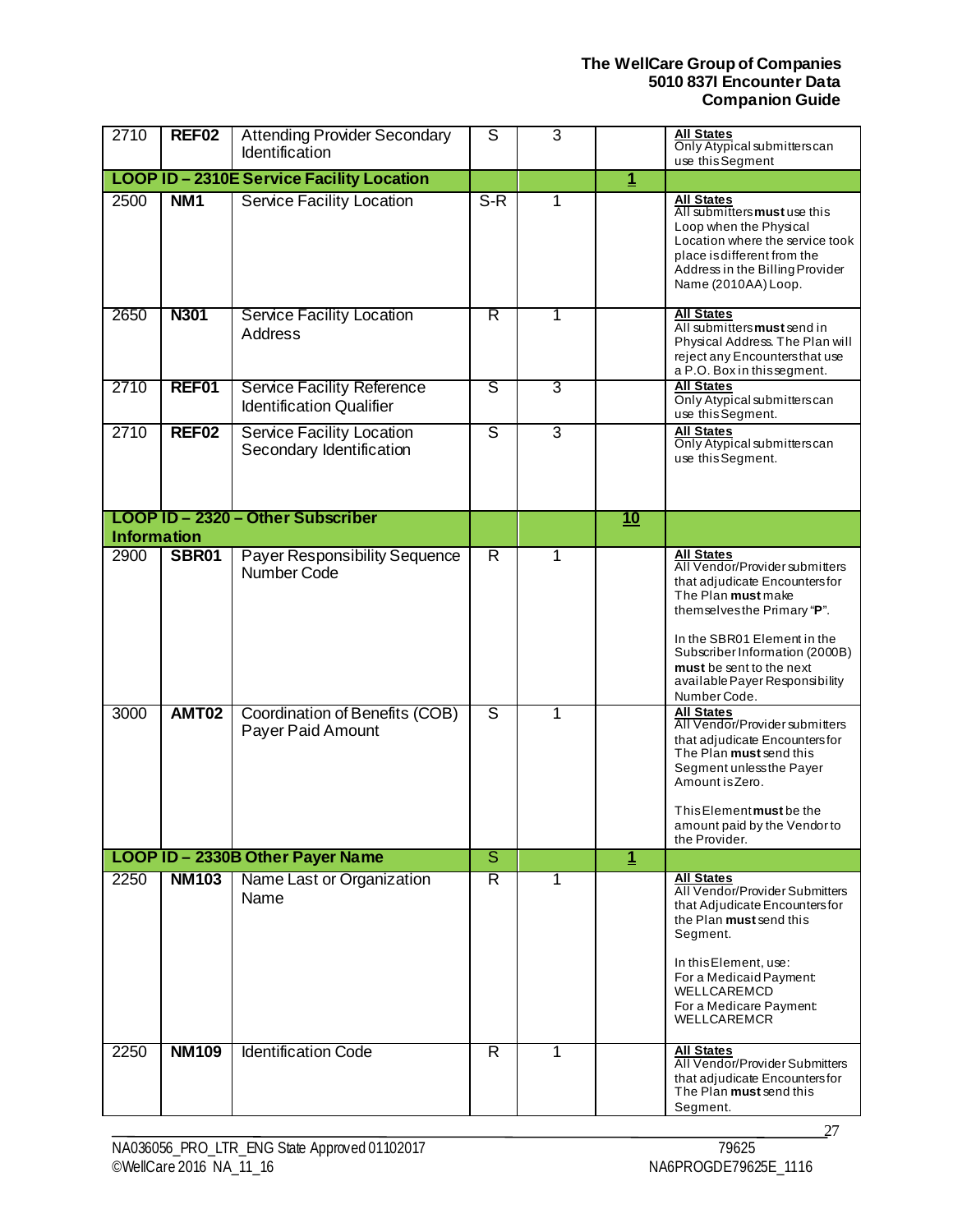| $\overline{27}10$  | <b>REF02</b>    | <b>Attending Provider Secondary</b><br>Identification                | S              | 3              |                | <b>All States</b><br>Only Atypical submitters can                                                                                                                                                                                                                   |
|--------------------|-----------------|----------------------------------------------------------------------|----------------|----------------|----------------|---------------------------------------------------------------------------------------------------------------------------------------------------------------------------------------------------------------------------------------------------------------------|
|                    |                 |                                                                      |                |                |                | use this Segment                                                                                                                                                                                                                                                    |
|                    |                 | LOOP ID - 2310E Service Facility Location                            |                |                | $\overline{1}$ |                                                                                                                                                                                                                                                                     |
| 2500               | NM <sub>1</sub> | <b>Service Facility Location</b>                                     | $S-R$          | 1              |                | <b>All States</b><br>All submitters must use this<br>Loop when the Physical<br>Location where the service took<br>place is different from the<br>Address in the Billing Provider<br>Name (2010AA) Loop.                                                             |
| 2650               | <b>N301</b>     | <b>Service Facility Location</b><br><b>Address</b>                   | R              | 1              |                | <b>All States</b><br>All submitters must send in<br>Physical Address. The Plan will<br>reject any Encounters that use<br>a P.O. Box in this segment.                                                                                                                |
| 2710               | REF01           | <b>Service Facility Reference</b><br><b>Identification Qualifier</b> | ड              | 3              |                | <b>All States</b><br>Only Atypical submitters can<br>use this Segment.                                                                                                                                                                                              |
| 2710               | REF02           | Service Facility Location<br>Secondary Identification                | ड              | $\overline{3}$ |                | <b>All States</b><br>Only Atypical submitters can<br>use this Segment.                                                                                                                                                                                              |
| <b>Information</b> |                 | LOOP ID - 2320 - Other Subscriber                                    |                |                | 10             |                                                                                                                                                                                                                                                                     |
| 2900               | SBR01           | <b>Payer Responsibility Sequence</b>                                 | $\overline{R}$ | 1              |                | <b>All States</b>                                                                                                                                                                                                                                                   |
|                    |                 | Number Code                                                          |                |                |                | All Vendor/Provider submitters<br>that adjudicate Encountersfor<br>The Plan must make<br>themselves the Primary "P".<br>In the SBR01 Element in the<br>Subscriber Information (2000B)<br>must be sent to the next<br>available Payer Responsibility<br>Number Code. |
| 3000               | <b>AMT02</b>    | Coordination of Benefits (COB)<br>Payer Paid Amount                  | S              | 1              |                | <b>All States</b><br>All Vendor/Provider submitters<br>that adjudicate Encountersfor<br>The Plan must send this<br>Segment unless the Payer<br>Amount is Zero.<br>This Element must be the<br>amount paid by the Vendor to<br>the Provider.                         |
|                    |                 | LOOP ID - 2330B Other Payer Name                                     | ड              |                | $\overline{1}$ |                                                                                                                                                                                                                                                                     |
| 2250               | <b>NM103</b>    | Name Last or Organization<br>Name                                    | R              | 1              |                | <b>All States</b><br>All Vendor/Provider Submitters<br>that Adjudicate Encountersfor<br>the Plan must send this<br>Segment.<br>In this Element, use:<br>For a Medicaid Payment:<br>WELLCAREMCD<br>For a Medicare Payment:<br>WELLCAREMCR                            |
| 2250               | <b>NM109</b>    | <b>Identification Code</b>                                           | R              | 1              |                | <b>All States</b><br>All Vendor/Provider Submitters<br>that adjudicate Encountersfor<br>The Plan must send this<br>Segment.                                                                                                                                         |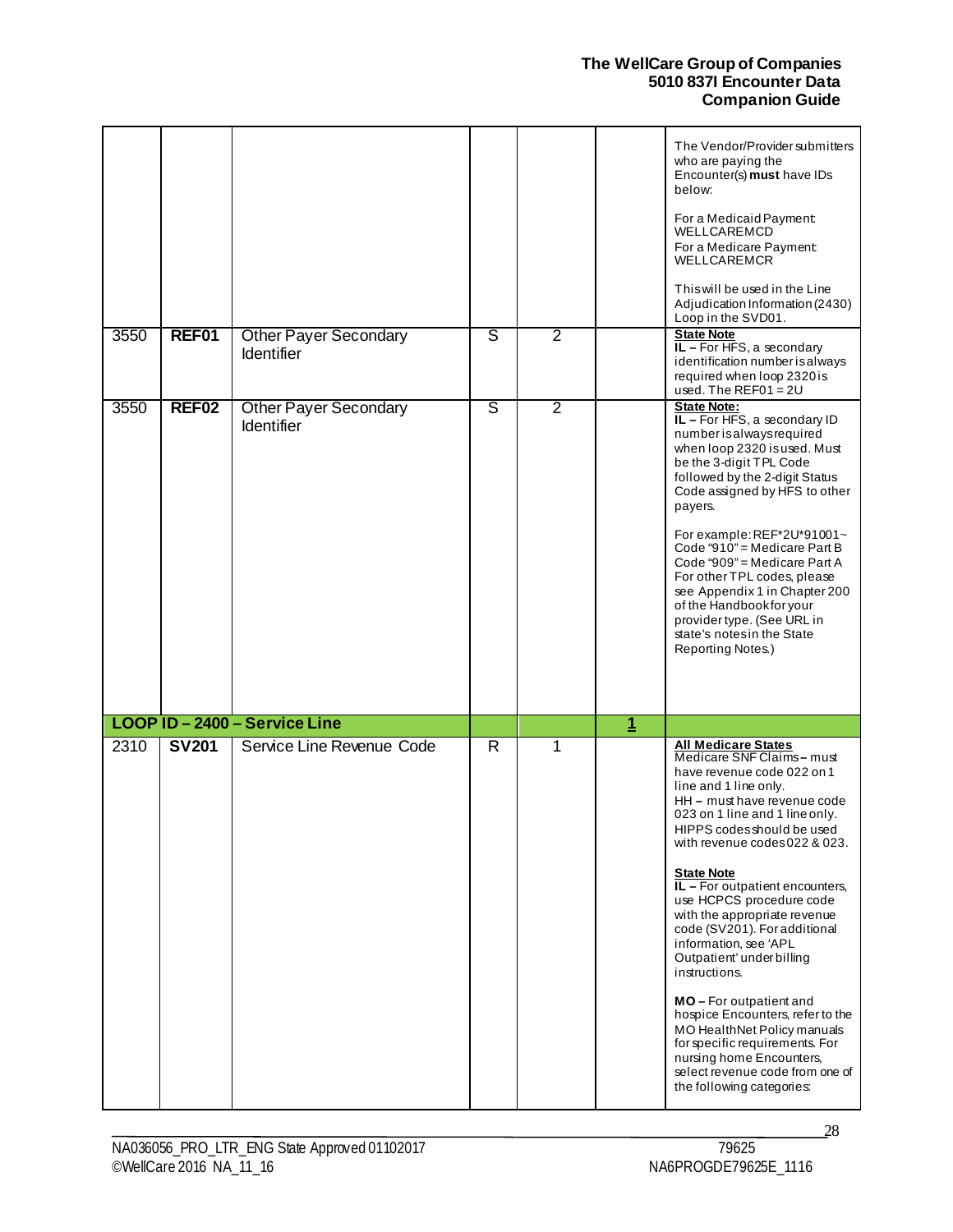| 3550 | REF01             | <b>Other Payer Secondary</b><br><b>Identifier</b> | ड | $\overline{2}$ |                | The Vendor/Provider submitters<br>who are paying the<br>Encounter(s) must have IDs<br>below:<br>For a Medicaid Payment:<br>WELLCAREMCD<br>For a Medicare Payment:<br><b>WELLCAREMCR</b><br>This will be used in the Line<br>Adjudication Information (2430)<br>Loop in the SVD01.<br><b>State Note</b><br>IL - For HFS, a secondary<br>identification number is always<br>required when loop 2320is                                                                                                                                                                                                                                                                                                |
|------|-------------------|---------------------------------------------------|---|----------------|----------------|----------------------------------------------------------------------------------------------------------------------------------------------------------------------------------------------------------------------------------------------------------------------------------------------------------------------------------------------------------------------------------------------------------------------------------------------------------------------------------------------------------------------------------------------------------------------------------------------------------------------------------------------------------------------------------------------------|
| 3550 | REF <sub>02</sub> | <b>Other Payer Secondary</b><br><b>Identifier</b> | S | $\overline{2}$ |                | used. The REF01 = $2U$<br><b>State Note:</b><br>$IL$ – For HFS, a secondary ID<br>numberisalwaysrequired<br>when loop 2320 is used. Must<br>be the 3-digit TPL Code<br>followed by the 2-digit Status<br>Code assigned by HFS to other<br>payers.<br>For example: REF*2U*91001~<br>Code "910" = Medicare Part B<br>Code "909" = Medicare Part A<br>For other TPL codes, please<br>see Appendix 1 in Chapter 200<br>of the Handbookfor your<br>provider type. (See URL in<br>state's notes in the State<br>Reporting Notes.)                                                                                                                                                                        |
|      |                   | LOOP ID-2400-Service Line                         |   |                | $\overline{1}$ |                                                                                                                                                                                                                                                                                                                                                                                                                                                                                                                                                                                                                                                                                                    |
| 2310 | <b>SV201</b>      | Service Line Revenue Code                         | R | 1              |                | <b>All Medicare States</b><br>Medicare SNF Claims-must<br>have revenue code 022 on 1<br>line and 1 line only.<br>HH - must have revenue code<br>023 on 1 line and 1 line only.<br>HIPPS codes should be used<br>with revenue codes 022 & 023.<br><b>State Note</b><br>IL - For outpatient encounters,<br>use HCPCS procedure code<br>with the appropriate revenue<br>code (SV201). For additional<br>information, see 'APL<br>Outpatient' under billing<br>instructions.<br>MO-For outpatient and<br>hospice Encounters, refer to the<br>MO HealthNet Policy manuals<br>for specific requirements. For<br>nursing home Encounters,<br>select revenue code from one of<br>the following categories: |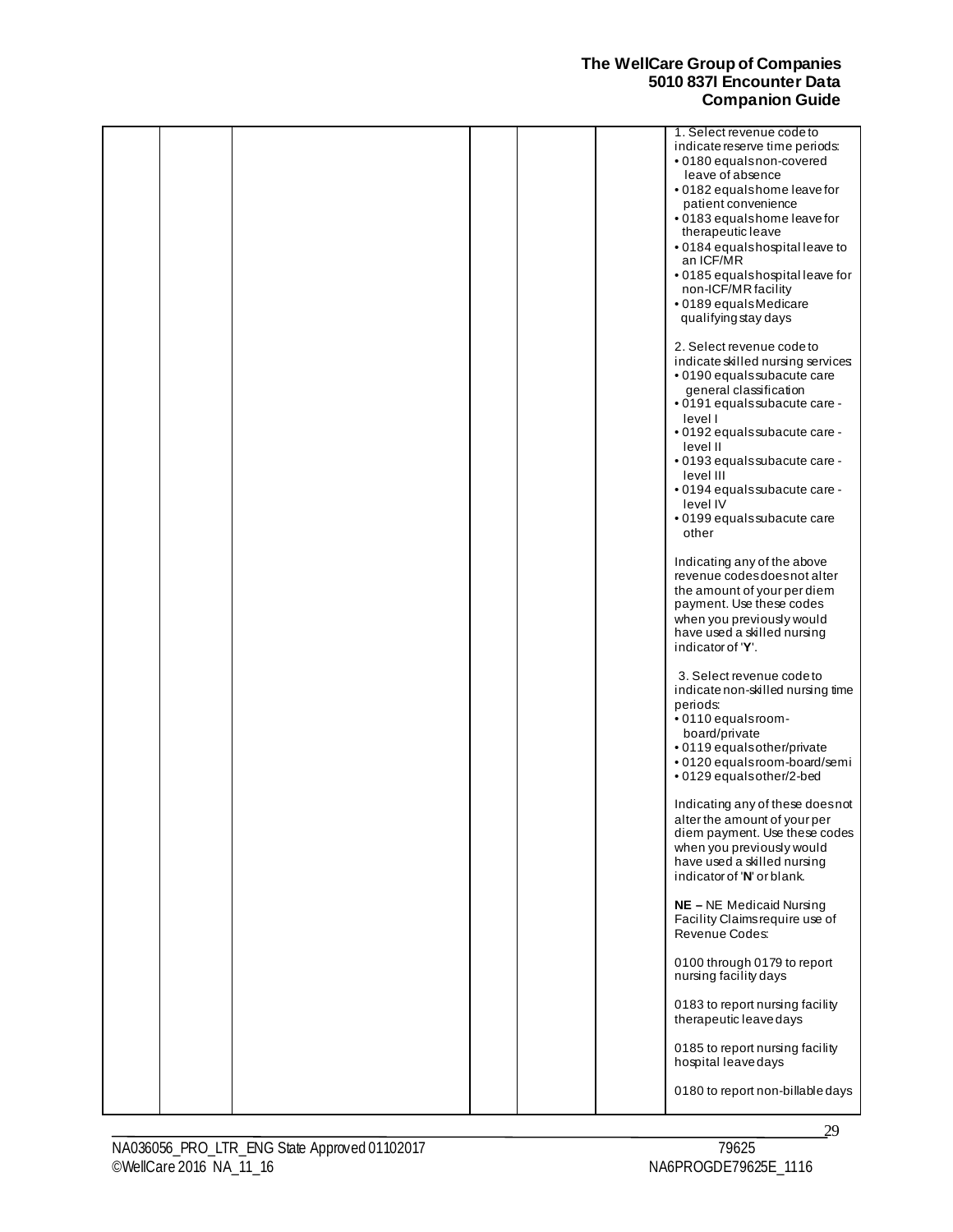|  |  |  | 1. Select revenue code to<br>indicate reserve time periods:   |
|--|--|--|---------------------------------------------------------------|
|  |  |  | · 0180 equalsnon-covered<br>leave of absence                  |
|  |  |  | • 0182 equalshome leave for                                   |
|  |  |  | patient convenience                                           |
|  |  |  | .0183 equalshome leave for<br>therapeutic leave               |
|  |  |  | .0184 equalshospital leave to                                 |
|  |  |  | an ICF/MR<br>.0185 equalshospital leave for                   |
|  |  |  | non-ICF/MR facility                                           |
|  |  |  | · 0189 equals Medicare<br>qualifying stay days                |
|  |  |  | 2. Select revenue code to                                     |
|  |  |  | indicate skilled nursing services                             |
|  |  |  | · 0190 equals subacute care<br>general classification         |
|  |  |  | · 0191 equals subacute care -                                 |
|  |  |  | level I<br>.0192 equals subacute care -                       |
|  |  |  | level II                                                      |
|  |  |  | • 0193 equals subacute care -<br>level III                    |
|  |  |  | · 0194 equals subacute care -                                 |
|  |  |  | level IV<br>· 0199 equals subacute care                       |
|  |  |  | other                                                         |
|  |  |  | Indicating any of the above                                   |
|  |  |  | revenue codesdoesnot alter<br>the amount of your per diem     |
|  |  |  | payment. Use these codes                                      |
|  |  |  | when you previously would<br>have used a skilled nursing      |
|  |  |  | indicator of 'Y'.                                             |
|  |  |  | 3. Select revenue codeto<br>indicate non-skilled nursing time |
|  |  |  | periods:                                                      |
|  |  |  | · 0110 equalsroom-<br>board/private                           |
|  |  |  | • 0119 equalsother/private                                    |
|  |  |  | · 0120 equalsroom-board/semi<br>• 0129 equalsother/2-bed      |
|  |  |  | Indicating any of these does not                              |
|  |  |  | alter the amount of your per<br>diem payment. Use these codes |
|  |  |  | when you previously would                                     |
|  |  |  | have used a skilled nursing<br>indicator of 'N' or blank.     |
|  |  |  | NE - NE Medicaid Nursing                                      |
|  |  |  | Facility Claims require use of<br>Revenue Codes:              |
|  |  |  | 0100 through 0179 to report                                   |
|  |  |  | nursing facility days                                         |
|  |  |  | 0183 to report nursing facility<br>therapeutic leave days     |
|  |  |  | 0185 to report nursing facility<br>hospital leave days        |
|  |  |  | 0180 to report non-billable days                              |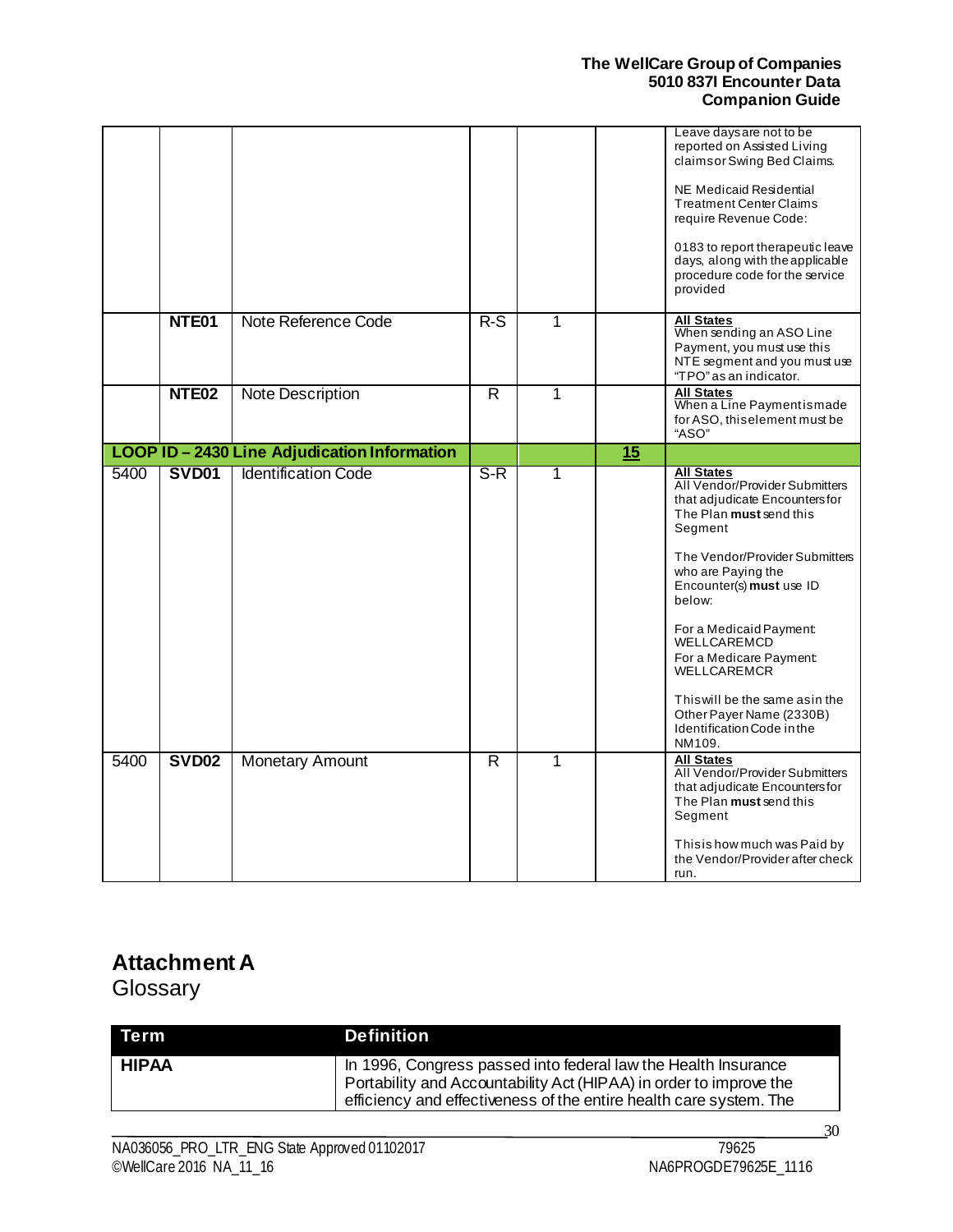|      |                   |                                              |                         |   |    | Leave daysare not to be<br>reported on Assisted Living<br>claims or Swing Bed Claims.                                                                                                                                                                                                                                                                                                                                      |
|------|-------------------|----------------------------------------------|-------------------------|---|----|----------------------------------------------------------------------------------------------------------------------------------------------------------------------------------------------------------------------------------------------------------------------------------------------------------------------------------------------------------------------------------------------------------------------------|
|      |                   |                                              |                         |   |    | NE Medicaid Residential<br><b>Treatment Center Claims</b><br>require Revenue Code:                                                                                                                                                                                                                                                                                                                                         |
|      |                   |                                              |                         |   |    | 0183 to report therapeutic leave<br>days, along with the applicable<br>procedure code for the service<br>provided                                                                                                                                                                                                                                                                                                          |
|      | NTE01             | Note Reference Code                          | $R-S$                   | 1 |    | <b>All States</b><br>When sending an ASO Line<br>Payment, you must use this<br>NTE segment and you must use<br>"TPO" as an indicator.                                                                                                                                                                                                                                                                                      |
|      | NTE <sub>02</sub> | <b>Note Description</b>                      | $\overline{\mathsf{R}}$ | 1 |    | <b>All States</b><br>When a Line Paymentismade<br>for ASO, this element must be<br>"ASO"                                                                                                                                                                                                                                                                                                                                   |
|      |                   | LOOP ID - 2430 Line Adjudication Information |                         |   | 15 |                                                                                                                                                                                                                                                                                                                                                                                                                            |
| 5400 | <b>SVD01</b>      | <b>Identification Code</b>                   | $S-R$                   | 1 |    | <b>All States</b><br>All Vendor/Provider Submitters<br>that adjudicate Encountersfor<br>The Plan must send this<br>Segment<br>The Vendor/Provider Submitters<br>who are Paying the<br>Encounter(s) must use ID<br>below:<br>For a Medicaid Payment:<br>WELLCAREMCD<br>For a Medicare Payment:<br><b>WELLCAREMCR</b><br>This will be the same as in the<br>Other Payer Name (2330B)<br>Identification Code in the<br>NM109. |
| 5400 | <b>SVD02</b>      | <b>Monetary Amount</b>                       | $\overline{R}$          | 1 |    | <b>All States</b><br>All Vendor/Provider Submitters<br>that adjudicate Encountersfor<br>The Plan must send this<br>Segment<br>Thisis how much was Paid by<br>the Vendor/Provider after check<br>run.                                                                                                                                                                                                                       |

# <span id="page-29-0"></span>**Attachment A**

<span id="page-29-1"></span>**Glossary** 

| <b>Term</b>  | <b>Definition</b>                                                                                                                                                                                          |
|--------------|------------------------------------------------------------------------------------------------------------------------------------------------------------------------------------------------------------|
| <b>HIPAA</b> | In 1996, Congress passed into federal law the Health Insurance<br>Portability and Accountability Act (HIPAA) in order to improve the<br>efficiency and effectiveness of the entire health care system. The |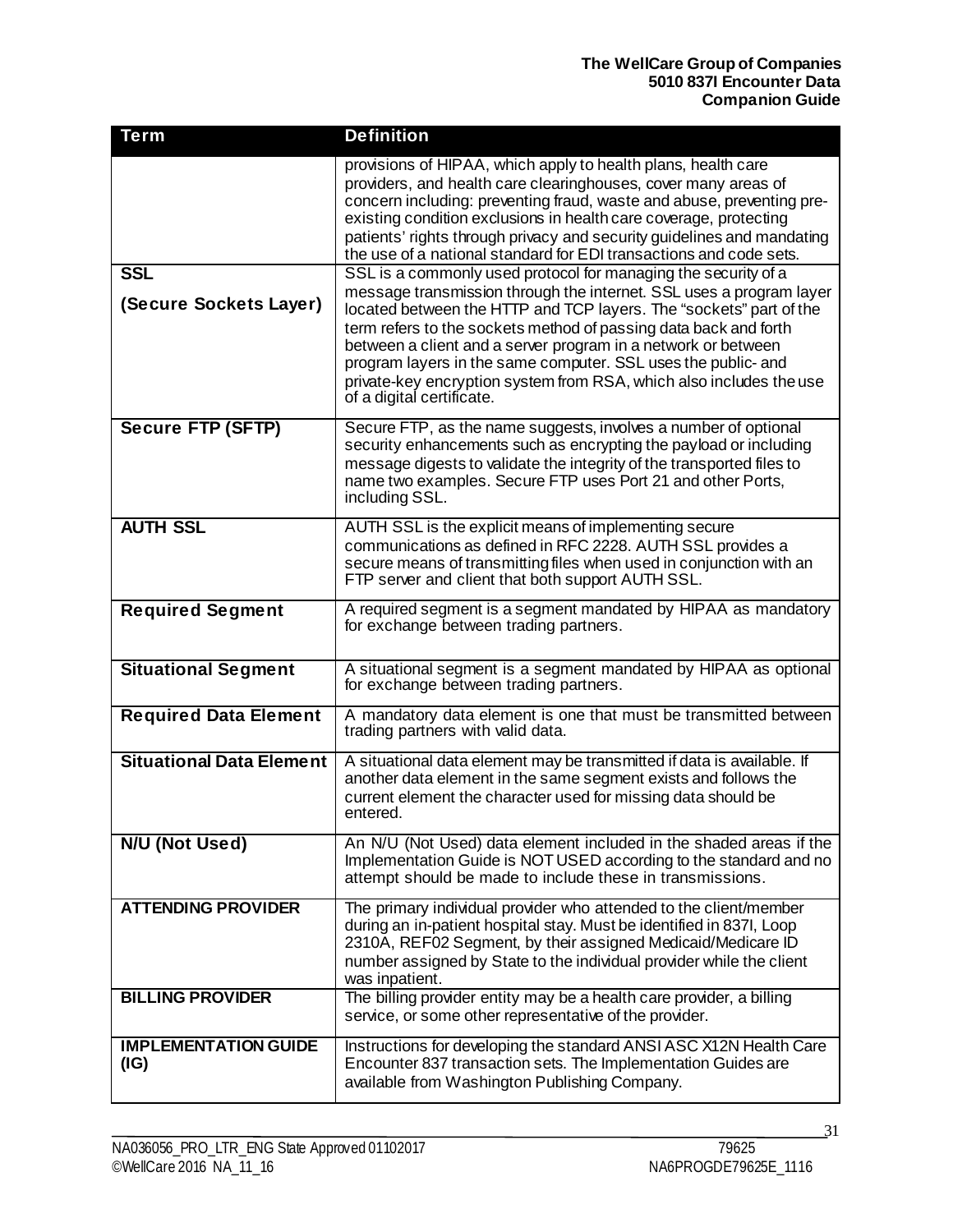| Term                                | <b>Definition</b>                                                                                                                                                                                                                                                                                                                                                            |
|-------------------------------------|------------------------------------------------------------------------------------------------------------------------------------------------------------------------------------------------------------------------------------------------------------------------------------------------------------------------------------------------------------------------------|
|                                     | provisions of HIPAA, which apply to health plans, health care<br>providers, and health care clearinghouses, cover many areas of<br>concern including: preventing fraud, waste and abuse, preventing pre-                                                                                                                                                                     |
|                                     | existing condition exclusions in health care coverage, protecting<br>patients' rights through privacy and security guidelines and mandating<br>the use of a national standard for EDI transactions and code sets.                                                                                                                                                            |
| <b>SSL</b>                          | SSL is a commonly used protocol for managing the security of a<br>message transmission through the internet. SSL uses a program layer                                                                                                                                                                                                                                        |
| (Secure Sockets Layer)              | located between the HTTP and TCP layers. The "sockets" part of the<br>term refers to the sockets method of passing data back and forth<br>between a client and a server program in a network or between<br>program layers in the same computer. SSL uses the public- and<br>private-key encryption system from RSA, which also includes the use<br>of a digital certificate. |
| <b>Secure FTP (SFTP)</b>            | Secure FTP, as the name suggests, involves a number of optional<br>security enhancements such as encrypting the payload or including<br>message digests to validate the integrity of the transported files to<br>name two examples. Secure FTP uses Port 21 and other Ports,<br>including SSL.                                                                               |
| <b>AUTH SSL</b>                     | AUTH SSL is the explicit means of implementing secure<br>communications as defined in RFC 2228. AUTH SSL provides a<br>secure means of transmitting files when used in conjunction with an<br>FTP server and client that both support AUTH SSL.                                                                                                                              |
| <b>Required Segment</b>             | A required segment is a segment mandated by HIPAA as mandatory<br>for exchange between trading partners.                                                                                                                                                                                                                                                                     |
| <b>Situational Segment</b>          | A situational segment is a segment mandated by HIPAA as optional<br>for exchange between trading partners.                                                                                                                                                                                                                                                                   |
| <b>Required Data Element</b>        | A mandatory data element is one that must be transmitted between<br>trading partners with valid data.                                                                                                                                                                                                                                                                        |
| <b>Situational Data Element</b>     | A situational data element may be transmitted if data is available. If<br>another data element in the same segment exists and follows the<br>current element the character used for missing data should be<br>entered.                                                                                                                                                       |
| N/U (Not Used)                      | An N/U (Not Used) data element included in the shaded areas if the<br>Implementation Guide is NOT USED according to the standard and no<br>attempt should be made to include these in transmissions.                                                                                                                                                                         |
| <b>ATTENDING PROVIDER</b>           | The primary individual provider who attended to the client/member<br>during an in-patient hospital stay. Must be identified in 837I, Loop<br>2310A, REF02 Segment, by their assigned Medicaid/Medicare ID<br>number assigned by State to the individual provider while the client<br>was inpatient.                                                                          |
| <b>BILLING PROVIDER</b>             | The billing provider entity may be a health care provider, a billing<br>service, or some other representative of the provider.                                                                                                                                                                                                                                               |
| <b>IMPLEMENTATION GUIDE</b><br>(IG) | Instructions for developing the standard ANSI ASC X12N Health Care<br>Encounter 837 transaction sets. The Implementation Guides are<br>available from Washington Publishing Company.                                                                                                                                                                                         |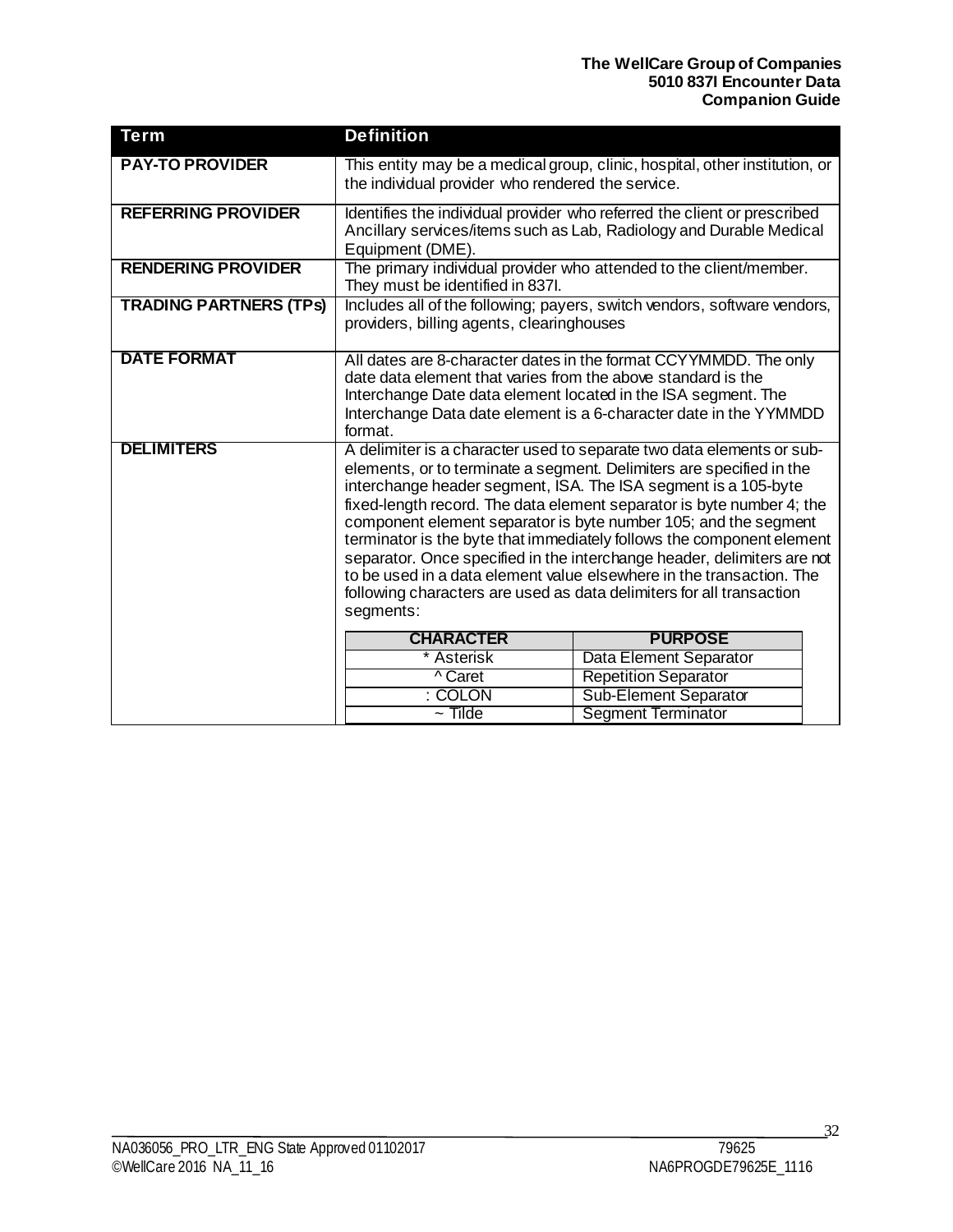| <b>Term</b>                   | <b>Definition</b>                                                                                                                                                                                                                                                                                                                                                                                                                                                                                                                                                                                                                                                            |                                                      |  |  |  |
|-------------------------------|------------------------------------------------------------------------------------------------------------------------------------------------------------------------------------------------------------------------------------------------------------------------------------------------------------------------------------------------------------------------------------------------------------------------------------------------------------------------------------------------------------------------------------------------------------------------------------------------------------------------------------------------------------------------------|------------------------------------------------------|--|--|--|
| <b>PAY-TO PROVIDER</b>        | This entity may be a medical group, clinic, hospital, other institution, or<br>the individual provider who rendered the service.                                                                                                                                                                                                                                                                                                                                                                                                                                                                                                                                             |                                                      |  |  |  |
| <b>REFERRING PROVIDER</b>     | Identifies the individual provider who referred the client or prescribed<br>Ancillary services/items such as Lab, Radiology and Durable Medical<br>Equipment (DME).                                                                                                                                                                                                                                                                                                                                                                                                                                                                                                          |                                                      |  |  |  |
| <b>RENDERING PROVIDER</b>     | The primary individual provider who attended to the client/member.<br>They must be identified in 837I.                                                                                                                                                                                                                                                                                                                                                                                                                                                                                                                                                                       |                                                      |  |  |  |
| <b>TRADING PARTNERS (TPS)</b> | Includes all of the following; payers, switch vendors, software vendors,<br>providers, billing agents, clearinghouses                                                                                                                                                                                                                                                                                                                                                                                                                                                                                                                                                        |                                                      |  |  |  |
| <b>DATE FORMAT</b>            | All dates are 8-character dates in the format CCYYMMDD. The only<br>date data element that varies from the above standard is the<br>Interchange Date data element located in the ISA segment. The<br>Interchange Data date element is a 6-character date in the YYMMDD<br>format.                                                                                                                                                                                                                                                                                                                                                                                            |                                                      |  |  |  |
| <b>DELIMITERS</b>             | A delimiter is a character used to separate two data elements or sub-<br>elements, or to terminate a segment. Delimiters are specified in the<br>interchange header segment, ISA. The ISA segment is a 105-byte<br>fixed-length record. The data element separator is byte number 4; the<br>component element separator is byte number 105; and the segment<br>terminator is the byte that immediately follows the component element<br>separator. Once specified in the interchange header, delimiters are not<br>to be used in a data element value elsewhere in the transaction. The<br>following characters are used as data delimiters for all transaction<br>segments: |                                                      |  |  |  |
|                               | <b>CHARACTER</b>                                                                                                                                                                                                                                                                                                                                                                                                                                                                                                                                                                                                                                                             | <b>PURPOSE</b>                                       |  |  |  |
|                               | * Asterisk<br>^ Caret                                                                                                                                                                                                                                                                                                                                                                                                                                                                                                                                                                                                                                                        | Data Element Separator                               |  |  |  |
|                               | : COLON                                                                                                                                                                                                                                                                                                                                                                                                                                                                                                                                                                                                                                                                      | <b>Repetition Separator</b><br>Sub-Element Separator |  |  |  |
|                               | $\overline{\phantom{a}}$ Tilde                                                                                                                                                                                                                                                                                                                                                                                                                                                                                                                                                                                                                                               | <b>Segment Terminator</b>                            |  |  |  |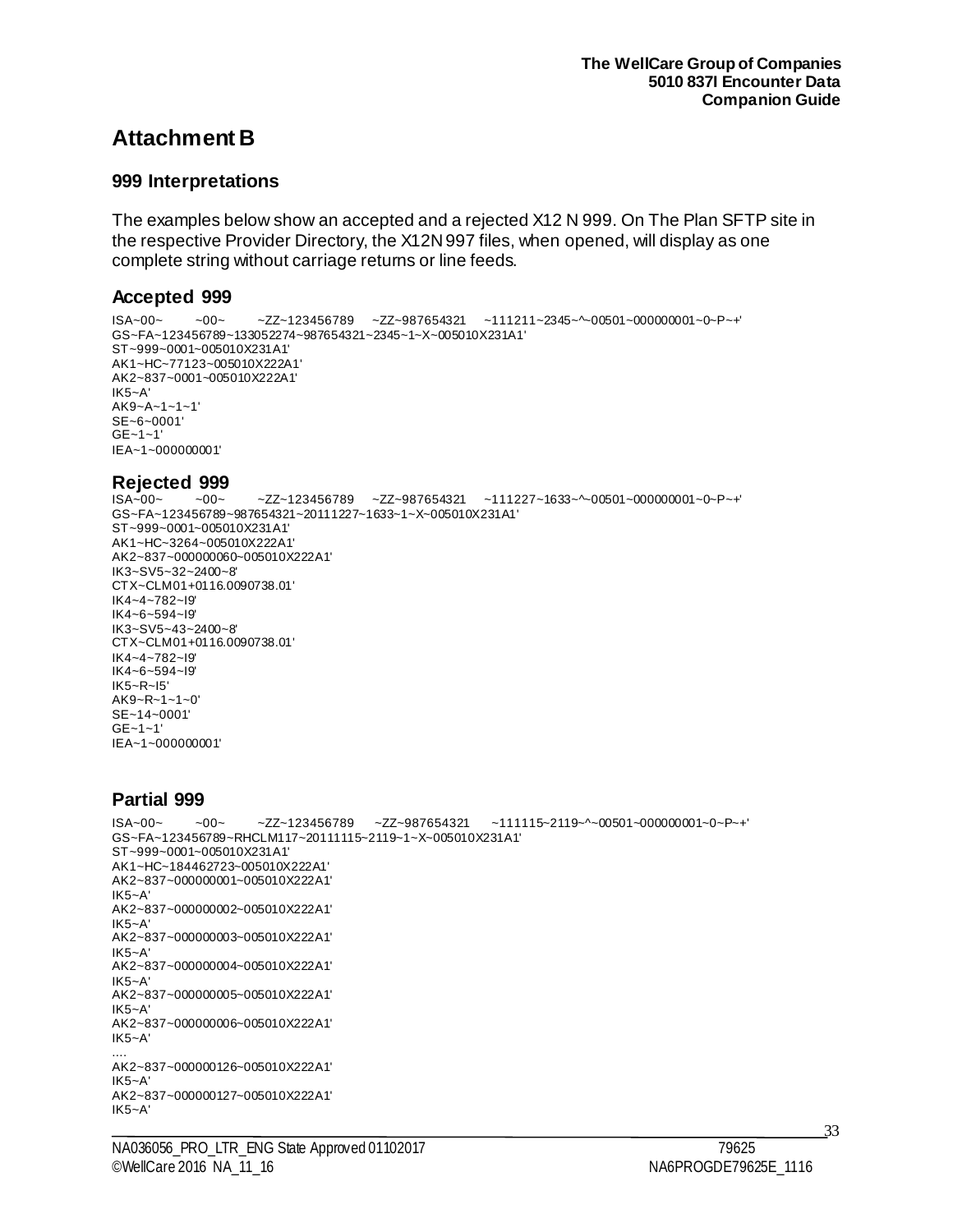# <span id="page-32-0"></span>**Attachment B**

#### <span id="page-32-1"></span>**999 Interpretations**

The examples below show an accepted and a rejected X12 N 999. On The Plan SFTP site in the respective Provider Directory, the X12N 997 files, when opened, will display as one complete string without carriage returns or line feeds.

#### <span id="page-32-2"></span>**Accepted 999**

```
ISA~00~ ~00~ ~ZZ~123456789 ~ZZ~987654321 ~111211~2345~^~00501~000000001~0~P~+'
GS~FA~123456789~133052274~987654321~2345~1~X~005010X231A1'
ST~999~0001~005010X231A1'
AK1~HC~77123~005010X222A1'
AK2~837~0001~005010X222A1'
IK5 - A'AK9~A~1~1~1'
SE~6~0001'
GE~1~1'
IEA~1~000000001'
```
# <span id="page-32-3"></span>**Rejected 999**<br> **ISA-00-** -00-

 $-ZZ~123456789$  ~ZZ~987654321 ~111227~1633~^~00501~000000001~0~P~+' GS~FA~123456789~987654321~20111227~1633~1~X~005010X231A1' ST~999~0001~005010X231A1' AK1~HC~3264~005010X222A1' AK2~837~000000060~005010X222A1' IK3~SV5~32~2400~8' CTX~CLM01+0116.0090738.01' IK4~4~782~I9' IK4~6~594~I9' IK3~SV5~43~2400~8' CTX~CLM01+0116.0090738.01' IK4~4~782~I9' IK4~6~594~I9' IK5~R~I5' AK9~R~1~1~0' SE~14~0001'  $GF - 1 - 1'$ IEA~1~000000001'

#### <span id="page-32-4"></span>**Partial 999**

ISA~00~ ~00~ ~ZZ~123456789 ~ZZ~987654321 ~111115~2119~^~00501~000000001~0~P~+' GS~FA~123456789~RHCLM117~20111115~2119~1~X~005010X231A1' ST~999~0001~005010X231A1' AK1~HC~184462723~005010X222A1' AK2~837~000000001~005010X222A1' IK5~A' AK2~837~000000002~005010X222A1' IK5~A' AK2~837~000000003~005010X222A1' IK5~A' AK2~837~000000004~005010X222A1' IK5~A' AK2~837~000000005~005010X222A1' IK5~A' AK2~837~000000006~005010X222A1' IK5~A' .... AK2~837~000000126~005010X222A1' IK5~A' AK2~837~000000127~005010X222A1' IK5~A'